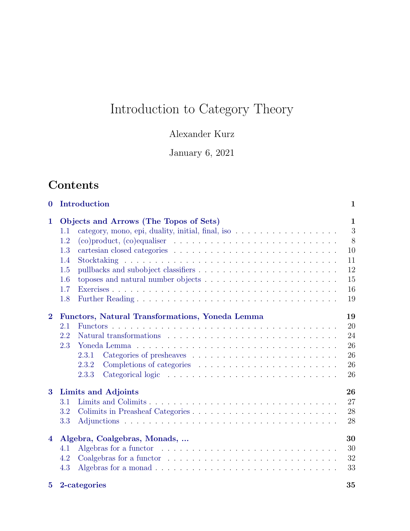# Introduction to Category Theory

## Alexander Kurz

## January 6, 2021

## Contents

| $\mathbf{0}$            | Introduction                                                                                   | 1            |
|-------------------------|------------------------------------------------------------------------------------------------|--------------|
| $\mathbf 1$             | Objects and Arrows (The Topos of Sets)                                                         | $\mathbf{1}$ |
|                         | category, mono, epi, duality, initial, final, iso $\dots \dots \dots \dots \dots \dots$<br>1.1 | 3            |
|                         | 1.2                                                                                            | 8            |
|                         | 1.3                                                                                            | 10           |
|                         | 1.4                                                                                            | 11           |
|                         | 1.5                                                                                            | 12           |
|                         | 1.6                                                                                            | 15           |
|                         | 1.7                                                                                            | $16\,$       |
|                         | 1.8                                                                                            | 19           |
| $\overline{2}$          | Functors, Natural Transformations, Yoneda Lemma                                                | 19           |
|                         | 2.1                                                                                            | 20           |
|                         | 2.2                                                                                            | 24           |
|                         | 2.3<br>Yoneda Lemma                                                                            | 26           |
|                         | 2.3.1                                                                                          | 26           |
|                         | 2.3.2                                                                                          | 26           |
|                         | 2.3.3                                                                                          | 26           |
| 3                       | Limits and Adjoints                                                                            | 26           |
|                         | 3.1                                                                                            | 27           |
|                         | 3.2                                                                                            | 28           |
|                         | 3.3                                                                                            | 28           |
| $\overline{\mathbf{4}}$ | Algebra, Coalgebras, Monads,                                                                   | 30           |
|                         | 4.1                                                                                            | 30           |
|                         | 4.2                                                                                            | 32           |
|                         | 4.3                                                                                            | 33           |

| 5 2-categories |  |  |
|----------------|--|--|
|----------------|--|--|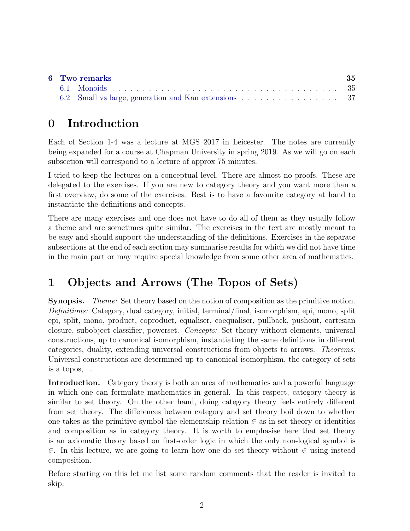|  | 6 Two remarks | -35 |
|--|---------------|-----|
|  |               |     |
|  |               |     |

## <span id="page-1-0"></span>0 Introduction

Each of Section 1-4 was a lecture at MGS 2017 in Leicester. The notes are currently being expanded for a course at Chapman University in spring 2019. As we will go on each subsection will correspond to a lecture of approx 75 minutes.

I tried to keep the lectures on a conceptual level. There are almost no proofs. These are delegated to the exercises. If you are new to category theory and you want more than a first overview, do some of the exercises. Best is to have a favourite category at hand to instantiate the definitions and concepts.

There are many exercises and one does not have to do all of them as they usually follow a theme and are sometimes quite similar. The exercises in the text are mostly meant to be easy and should support the understanding of the definitions. Exercises in the separate subsections at the end of each section may summarise results for which we did not have time in the main part or may require special knowledge from some other area of mathematics.

## <span id="page-1-1"></span>1 Objects and Arrows (The Topos of Sets)

Synopsis. Theme: Set theory based on the notion of composition as the primitive notion. Definitions: Category, dual category, initial, terminal/final, isomorphism, epi, mono, split epi, split, mono, product, coproduct, equaliser, coequaliser, pullback, pushout, cartesian closure, subobject classifier, powerset. Concepts: Set theory without elements, universal constructions, up to canonical isomorphism, instantiating the same definitions in different categories, duality, extending universal constructions from objects to arrows. Theorems: Universal constructions are determined up to canonical isomorphism, the category of sets is a topos, ...

Introduction. Category theory is both an area of mathematics and a powerful language in which one can formulate mathematics in general. In this respect, category theory is similar to set theory. On the other hand, doing category theory feels entirely different from set theory. The differences between category and set theory boil down to whether one takes as the primitive symbol the elementship relation  $\in$  as in set theory or identities and composition as in category theory. It is worth to emphasise here that set theory is an axiomatic theory based on first-order logic in which the only non-logical symbol is ∈. In this lecture, we are going to learn how one do set theory without ∈ using instead composition.

Before starting on this let me list some random comments that the reader is invited to skip.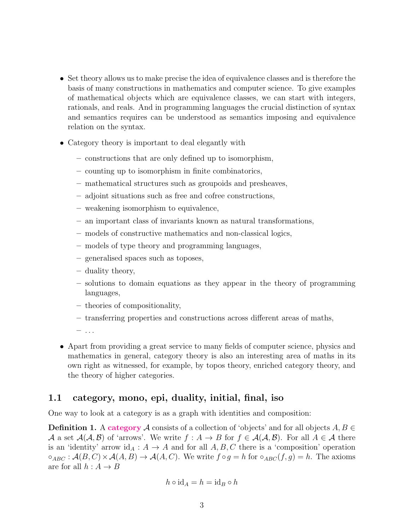- Set theory allows us to make precise the idea of equivalence classes and is therefore the basis of many constructions in mathematics and computer science. To give examples of mathematical objects which are equivalence classes, we can start with integers, rationals, and reals. And in programming languages the crucial distinction of syntax and semantics requires can be understood as semantics imposing and equivalence relation on the syntax.
- Category theory is important to deal elegantly with
	- constructions that are only defined up to isomorphism,
	- counting up to isomorphism in finite combinatorics,
	- mathematical structures such as groupoids and presheaves,
	- adjoint situations such as free and cofree constructions,
	- weakening isomorphism to equivalence,
	- an important class of invariants known as natural transformations,
	- models of constructive mathematics and non-classical logics,
	- models of type theory and programming languages,
	- generalised spaces such as toposes,
	- duality theory,
	- solutions to domain equations as they appear in the theory of programming languages,
	- theories of compositionality,
	- transferring properties and constructions across different areas of maths,
	- $-$  ...
- Apart from providing a great service to many fields of computer science, physics and mathematics in general, category theory is also an interesting area of maths in its own right as witnessed, for example, by topos theory, enriched category theory, and the theory of higher categories.

#### <span id="page-2-0"></span>1.1 category, mono, epi, duality, initial, final, iso

One way to look at a category is as a graph with identities and composition:

**Definition 1.** A category A consists of a collection of 'objects' and for all objects  $A, B \in$ A a set  $A(A, B)$  of 'arrows'. We write  $f : A \to B$  for  $f \in A(A, B)$ . For all  $A \in A$  there is an 'identity' arrow id<sub>A</sub> :  $A \rightarrow A$  and for all  $A, B, C$  there is a 'composition' operation  $\circ_{ABC}: \mathcal{A}(B,C) \times \mathcal{A}(A,B) \to \mathcal{A}(A,C)$ . We write  $f \circ g = h$  for  $\circ_{ABC}(f,g) = h$ . The axioms are for all  $h : A \rightarrow B$ 

$$
h\circ \mathrm{id}_A=h=\mathrm{id}_B\circ h
$$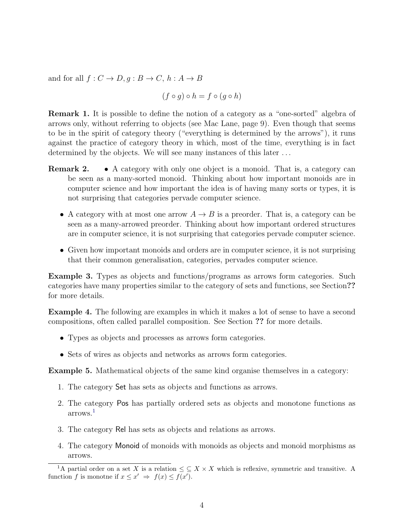and for all  $f: C \to D, g: B \to C, h: A \to B$ 

 $(f \circ q) \circ h = f \circ (q \circ h)$ 

Remark 1. It is possible to define the notion of a category as a "one-sorted" algebra of arrows only, without referring to objects (see Mac Lane, page 9). Even though that seems to be in the spirit of category theory ("everything is determined by the arrows"), it runs against the practice of category theory in which, most of the time, everything is in fact determined by the objects. We will see many instances of this later ...

- Remark 2. A category with only one object is a monoid. That is, a category can be seen as a many-sorted monoid. Thinking about how important monoids are in computer science and how important the idea is of having many sorts or types, it is not surprising that categories pervade computer science.
	- A category with at most one arrow  $A \rightarrow B$  is a preorder. That is, a category can be seen as a many-arrowed preorder. Thinking about how important ordered structures are in computer science, it is not surprising that categories pervade computer science.
	- Given how important monoids and orders are in computer science, it is not surprising that their common generalisation, categories, pervades computer science.

Example 3. Types as objects and functions/programs as arrows form categories. Such categories have many properties similar to the category of sets and functions, see Section?? for more details.

Example 4. The following are examples in which it makes a lot of sense to have a second compositions, often called parallel composition. See Section ?? for more details.

- Types as objects and processes as arrows form categories.
- Sets of wires as objects and networks as arrows form categories.

<span id="page-3-1"></span>Example 5. Mathematical objects of the same kind organise themselves in a category:

- 1. The category Set has sets as objects and functions as arrows.
- 2. The category Pos has partially ordered sets as objects and monotone functions as arrows.[1](#page-3-0)
- 3. The category Rel has sets as objects and relations as arrows.
- 4. The category Monoid of monoids with monoids as objects and monoid morphisms as arrows.

<span id="page-3-0"></span><sup>&</sup>lt;sup>1</sup>A partial order on a set X is a relation  $\leq \leq X \times X$  which is reflexive, symmetric and transitive. A function f is monotne if  $x \leq x' \Rightarrow f(x) \leq f(x')$ .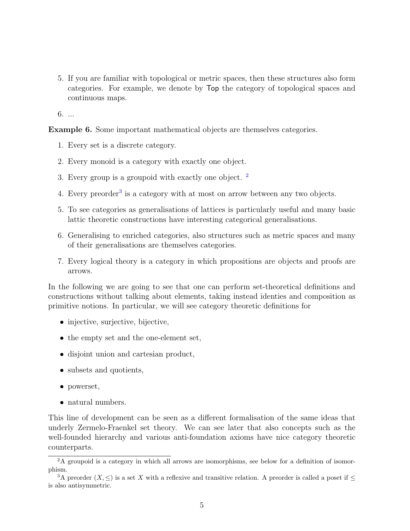5. If you are familiar with topological or metric spaces, then these structures also form categories. For example, we denote by Top the category of topological spaces and continuous maps.

6. ...

Example 6. Some important mathematical objects are themselves categories.

- 1. Every set is a discrete category.
- 2. Every monoid is a category with exactly one object.
- 3. Every group is a groupoid with exactly one object. [2](#page-4-0)
- 4. Every preorder<sup>[3](#page-4-1)</sup> is a category with at most on arrow between any two objects.
- 5. To see categories as generalisations of lattices is particularly useful and many basic lattic theoretic constructions have interesting categorical generalisations.
- 6. Generalising to enriched categories, also structures such as metric spaces and many of their generalisations are themselves categories.
- 7. Every logical theory is a category in which propositions are objects and proofs are arrows.

In the following we are going to see that one can perform set-theoretical definitions and constructions without talking about elements, taking instead identies and composition as primitive notions. In particular, we will see category theoretic definitions for

- injective, surjective, bijective,
- the empty set and the one-element set,
- disjoint union and cartesian product,
- subsets and quotients,
- powerset,
- natural numbers.

This line of development can be seen as a different formalisation of the same ideas that underly Zermelo-Fraenkel set theory. We can see later that also concepts such as the well-founded hierarchy and various anti-foundation axioms have nice category theoretic counterparts.

<span id="page-4-0"></span><sup>&</sup>lt;sup>2</sup>A groupoid is a category in which all arrows are isomorphisms, see below for a definition of isomorphism.

<span id="page-4-1"></span><sup>&</sup>lt;sup>3</sup>A preorder (X, <) is a set X with a reflexive and transitive relation. A preorder is called a poset if < is also antisymmetric.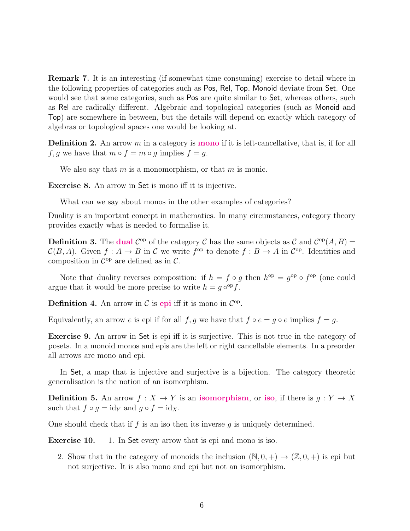Remark 7. It is an interesting (if somewhat time consuming) exercise to detail where in the following properties of categories such as Pos, Rel, Top, Monoid deviate from Set. One would see that some categories, such as **Pos** are quite similar to **Set**, whereas others, such as Rel are radically different. Algebraic and topological categories (such as Monoid and Top) are somewhere in between, but the details will depend on exactly which category of algebras or topological spaces one would be looking at.

**Definition 2.** An arrow  $m$  in a category is **mono** if it is left-cancellative, that is, if for all f, g we have that  $m \circ f = m \circ g$  implies  $f = g$ .

We also say that  $m$  is a monomorphism, or that  $m$  is monic.

Exercise 8. An arrow in Set is mono iff it is injective.

What can we say about monos in the other examples of categories?

Duality is an important concept in mathematics. In many circumstances, category theory provides exactly what is needed to formalise it.

**Definition 3.** The dual  $\mathcal{C}^{\text{op}}$  of the category  $\mathcal{C}$  has the same objects as  $\mathcal{C}$  and  $\mathcal{C}^{\text{op}}(A, B)$  =  $\mathcal{C}(B, A)$ . Given  $f : A \to B$  in C we write  $f^{\text{op}}$  to denote  $f : B \to A$  in  $\mathcal{C}^{\text{op}}$ . Identities and composition in  $\mathcal{C}^{\text{op}}$  are defined as in  $\mathcal{C}$ .

Note that duality reverses composition: if  $h = f \circ g$  then  $h^{\rm op} = g^{\rm op} \circ f^{\rm op}$  (one could argue that it would be more precise to write  $h = g \circ^{\rm op} f$ .

**Definition 4.** An arrow in  $\mathcal{C}$  is epi iff it is mono in  $\mathcal{C}^{\mathrm{op}}$ .

Equivalently, an arrow e is epi if for all f, g we have that  $f \circ e = g \circ e$  implies  $f = g$ .

Exercise 9. An arrow in Set is epi iff it is surjective. This is not true in the category of posets. In a monoid monos and epis are the left or right cancellable elements. In a preorder all arrows are mono and epi.

In Set, a map that is injective and surjective is a bijection. The category theoretic generalisation is the notion of an isomorphism.

**Definition 5.** An arrow  $f : X \to Y$  is an **isomorphism**, or **iso**, if there is  $g : Y \to X$ such that  $f \circ g = id_Y$  and  $g \circ f = id_X$ .

One should check that if f is an iso then its inverse q is uniquely determined.

**Exercise 10.** 1. In Set every arrow that is epi and mono is iso.

2. Show that in the category of monoids the inclusion  $(N, 0, +) \rightarrow (\mathbb{Z}, 0, +)$  is epi but not surjective. It is also mono and epi but not an isomorphism.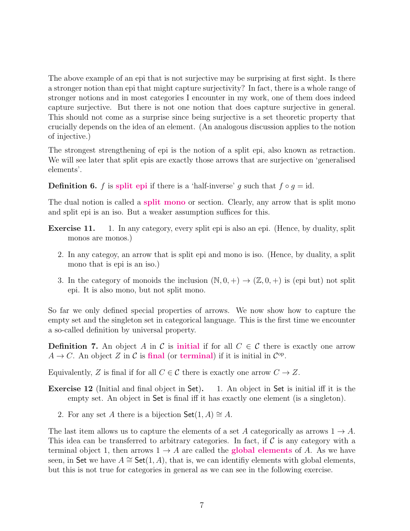The above example of an epi that is not surjective may be surprising at first sight. Is there a stronger notion than epi that might capture surjectivity? In fact, there is a whole range of stronger notions and in most categories I encounter in my work, one of them does indeed capture surjective. But there is not one notion that does capture surjective in general. This should not come as a surprise since being surjective is a set theoretic property that crucially depends on the idea of an element. (An analogous discussion applies to the notion of injective.)

The strongest strengthening of epi is the notion of a split epi, also known as retraction. We will see later that split epis are exactly those arrows that are surjective on 'generalised elements'.

**Definition 6.** f is split epi if there is a 'half-inverse' g such that  $f \circ g = id$ .

The dual notion is called a split mono or section. Clearly, any arrow that is split mono and split epi is an iso. But a weaker assumption suffices for this.

- Exercise 11. 1. In any category, every split epi is also an epi. (Hence, by duality, split monos are monos.)
	- 2. In any categoy, an arrow that is split epi and mono is iso. (Hence, by duality, a split mono that is epi is an iso.)
	- 3. In the category of monoids the inclusion  $(N, 0, +) \rightarrow (\mathbb{Z}, 0, +)$  is (epi but) not split epi. It is also mono, but not split mono.

So far we only defined special properties of arrows. We now show how to capture the empty set and the singleton set in categorical language. This is the first time we encounter a so-called definition by universal property.

**Definition 7.** An object A in C is **initial** if for all  $C \in \mathcal{C}$  there is exactly one arrow  $A \to C$ . An object Z in C is final (or terminal) if it is initial in  $\mathcal{C}^{\mathrm{op}}$ .

Equivalently, Z is final if for all  $C \in \mathcal{C}$  there is exactly one arrow  $C \to Z$ .

- Exercise 12 (Initial and final object in Set). 1. An object in Set is initial iff it is the empty set. An object in Set is final iff it has exactly one element (is a singleton).
	- 2. For any set A there is a bijection  $\mathsf{Set}(1,A) \cong A$ .

The last item allows us to capture the elements of a set A categorically as arrows  $1 \rightarrow A$ . This idea can be transferred to arbitrary categories. In fact, if  $\mathcal C$  is any category with a terminal object 1, then arrows  $1 \rightarrow A$  are called the **global elements** of A. As we have seen, in Set we have  $A \cong$  Set(1, A), that is, we can identify elements with global elements, but this is not true for categories in general as we can see in the following exercise.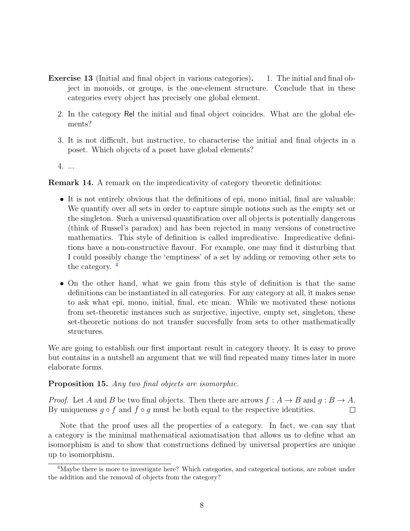- Exercise 13 (Initial and final object in various categories). 1. The initial and final object in monoids, or groups, is the one-element structure. Conclude that in these categories every object has precisely one global element.
	- 2. In the category Rel the initial and final object coincides. What are the global elements?
	- 3. It is not difficult, but instructive, to characterise the initial and final objects in a poset. Which objects of a poset have global elements?

4. ...

Remark 14. A remark on the impredicativity of category theoretic definitions:

- It is not entirely obvious that the definitions of epi, mono initial, final are valuable: We quantify over all sets in order to capture simple notions such as the empty set or the singleton. Such a universal quantification over all objects is potentially dangerous (think of Russel's paradox) and has been rejected in many versions of constructive mathematics. This style of definition is called impredicative. Impredicative definitions have a non-constructive flavour. For example, one may find it disturbing that I could possibly change the 'emptiness' of a set by adding or removing other sets to the category.  $4$
- On the other hand, what we gain from this style of definition is that the same definitions can be instantiated in all categories. For any category at all, it makes sense to ask what epi, mono, initial, final, etc mean. While we motivated these notions from set-theoretic instances such as surjective, injective, empty set, singleton, these set-theoretic notions do not transfer succesfully from sets to other mathematically structures.

We are going to establish our first important result in category theory. It is easy to prove but contains in a nutshell an argument that we will find repeated many times later in more elaborate forms.

#### Proposition 15. Any two final objects are isomorphic.

*Proof.* Let A and B be two final objects. Then there are arrows  $f : A \rightarrow B$  and  $g : B \rightarrow A$ . By uniqueness  $q \circ f$  and  $f \circ q$  must be both equal to the respective identities.  $\Box$ 

Note that the proof uses all the properties of a category. In fact, we can say that a category is the minimal mathematical axiomatisation that allows us to define what an isomorphism is and to show that constructions defined by universal properties are unique up to isomorphism.

<span id="page-7-0"></span><sup>4</sup>Maybe there is more to investigate here? Which categories, and categorical notions, are robust under the addition and the removal of objects from the category?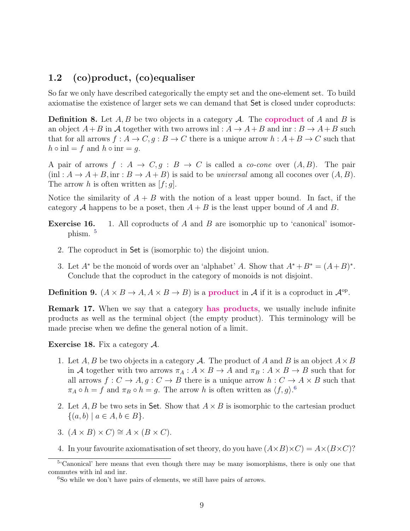### <span id="page-8-0"></span>1.2 (co)product, (co)equaliser

So far we only have described categorically the empty set and the one-element set. To build axiomatise the existence of larger sets we can demand that Set is closed under coproducts:

**Definition 8.** Let  $A, B$  be two objects in a category  $A$ . The **coproduct** of A and B is an object  $A + B$  in A together with two arrows inl :  $A \to A + B$  and inr :  $B \to A + B$  such that for all arrows  $f : A \to C$ ,  $g : B \to C$  there is a unique arrow  $h : A + B \to C$  such that  $h \circ \text{in} l = f \text{ and } h \circ \text{in} r = g.$ 

A pair of arrows  $f : A \to C, g : B \to C$  is called a *co-cone* over  $(A, B)$ . The pair  $(i\text{nl}: A \to A + B, \text{inr}: B \to A + B$  is said to be universal among all cocones over  $(A, B)$ . The arrow h is often written as  $[f; g]$ .

Notice the similarity of  $A + B$  with the notion of a least upper bound. In fact, if the category A happens to be a poset, then  $A + B$  is the least upper bound of A and B.

- **Exercise 16.** 1. All coproducts of A and B are isomorphic up to 'canonical' isomorphism. [5](#page-8-1)
	- 2. The coproduct in Set is (isomorphic to) the disjoint union.
	- 3. Let  $A^*$  be the monoid of words over an 'alphabet' A. Show that  $A^* + B^* = (A + B)^*$ . Conclude that the coproduct in the category of monoids is not disjoint.

**Definition 9.**  $(A \times B \to A, A \times B \to B)$  is a **product** in A if it is a coproduct in  $\mathcal{A}^{\text{op}}$ .

**Remark 17.** When we say that a category has products, we usually include infinite products as well as the terminal object (the empty product). This terminology will be made precise when we define the general notion of a limit.

**Exercise 18.** Fix a category  $\mathcal{A}$ .

- 1. Let A, B be two objects in a category A. The product of A and B is an object  $A \times B$ in A together with two arrows  $\pi_A : A \times B \to A$  and  $\pi_B : A \times B \to B$  such that for all arrows  $f: C \to A, g: C \to B$  there is a unique arrow  $h: C \to A \times B$  such that  $\pi_A \circ h = f$  and  $\pi_B \circ h = g$ . The arrow h is often written as  $\langle f, g \rangle$ .<sup>[6](#page-8-2)</sup>
- 2. Let A, B be two sets in Set. Show that  $A \times B$  is isomorphic to the cartesian product  $\{(a, b) \mid a \in A, b \in B\}.$
- 3.  $(A \times B) \times C$   $\cong A \times (B \times C)$ .
- 4. In your favourite axiomatisation of set theory, do you have  $(A \times B) \times C = A \times (B \times C)$ ?

<span id="page-8-1"></span><sup>&</sup>lt;sup>5</sup>'Canonical' here means that even though there may be many isomorphisms, there is only one that commutes with inl and inr.

<span id="page-8-2"></span><sup>6</sup>So while we don't have pairs of elements, we still have pairs of arrows.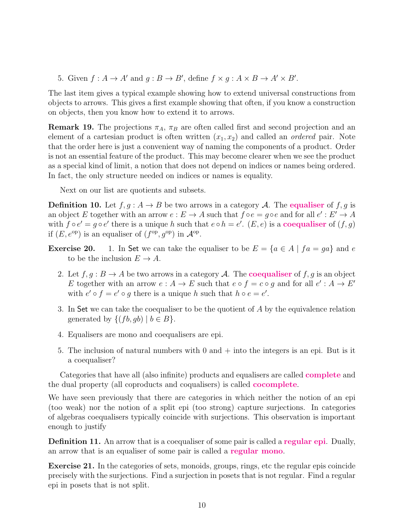5. Given  $f : A \to A'$  and  $g : B \to B'$ , define  $f \times g : A \times B \to A' \times B'$ .

The last item gives a typical example showing how to extend universal constructions from objects to arrows. This gives a first example showing that often, if you know a construction on objects, then you know how to extend it to arrows.

**Remark 19.** The projections  $\pi_A$ ,  $\pi_B$  are often called first and second projection and an element of a cartesian product is often written  $(x_1, x_2)$  and called an *ordered* pair. Note that the order here is just a convenient way of naming the components of a product. Order is not an essential feature of the product. This may become clearer when we see the product as a special kind of limit, a notion that does not depend on indices or names being ordered. In fact, the only structure needed on indices or names is equality.

Next on our list are quotients and subsets.

**Definition 10.** Let  $f, g: A \to B$  be two arrows in a category A. The **equaliser** of  $f, g$  is an object E together with an arrow  $e : E \to A$  such that  $f \circ e = g \circ e$  and for all  $e' : E' \to A$ with  $f \circ e' = g \circ e'$  there is a unique h such that  $e \circ h = e'$ .  $(E, e)$  is a **coequaliser** of  $(f, g)$ if  $(E, e^{\text{op}})$  is an equaliser of  $(f^{\text{op}}, g^{\text{op}})$  in  $\mathcal{A}^{\text{op}}$ .

- **Exercise 20.** 1. In Set we can take the equaliser to be  $E = \{a \in A \mid fa = ga\}$  and e to be the inclusion  $E \to A$ .
	- 2. Let  $f, g : B \to A$  be two arrows in a category A. The **coequaliser** of f, g is an object E together with an arrow  $e: A \to E$  such that  $e \circ f = c \circ g$  and for all  $e' : A \to E'$ with  $e' \circ f = e' \circ g$  there is a unique h such that  $h \circ e = e'$ .
	- 3. In Set we can take the coequaliser to be the quotient of A by the equivalence relation generated by  $\{(fb, qb) \mid b \in B\}.$
	- 4. Equalisers are mono and coequalisers are epi.
	- 5. The inclusion of natural numbers with  $0$  and  $+$  into the integers is an epi. But is it a coequaliser?

Categories that have all (also infinite) products and equalisers are called **complete** and the dual property (all coproducts and coqualisers) is called cocomplete.

We have seen previously that there are categories in which neither the notion of an epi (too weak) nor the notion of a split epi (too strong) capture surjections. In categories of algebras coequalisers typically coincide with surjections. This observation is important enough to justify

Definition 11. An arrow that is a coequaliser of some pair is called a regular epi. Dually, an arrow that is an equaliser of some pair is called a regular mono.

Exercise 21. In the categories of sets, monoids, groups, rings, etc the regular epis coincide precisely with the surjections. Find a surjection in posets that is not regular. Find a regular epi in posets that is not split.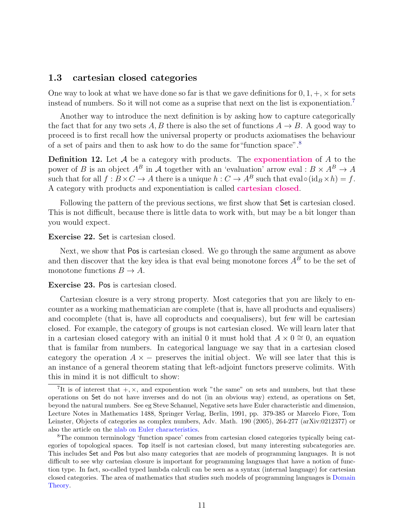#### <span id="page-10-0"></span>1.3 cartesian closed categories

One way to look at what we have done so far is that we gave definitions for  $0, 1, +, \times$  for sets instead of numbers. So it will not come as a suprise that next on the list is exponentiation.<sup>[7](#page-10-1)</sup>

Another way to introduce the next definition is by asking how to capture categorically the fact that for any two sets A, B there is also the set of functions  $A \rightarrow B$ . A good way to proceed is to first recall how the universal property or products axiomatises the behaviour of a set of pairs and then to ask how to do the same for"function space".[8](#page-10-2)

**Definition 12.** Let  $A$  be a category with products. The exponentiation of  $A$  to the power of B is an object  $A^B$  in A together with an 'evaluation' arrow eval :  $B \times A^B \to A$ such that for all  $f : B \times C \to A$  there is a unique  $h : C \to A^B$  such that eval<sup>o</sup> $(\text{id}_B \times h) = f$ . A category with products and exponentiation is called cartesian closed.

Following the pattern of the previous sections, we first show that Set is cartesian closed. This is not difficult, because there is little data to work with, but may be a bit longer than you would expect.

#### Exercise 22. Set is cartesian closed.

Next, we show that Pos is cartesian closed. We go through the same argument as above and then discover that the key idea is that eval being monotone forces  $A^{\tilde{B}}$  to be the set of monotone functions  $B \to A$ .

#### Exercise 23. Pos is cartesian closed.

Cartesian closure is a very strong property. Most categories that you are likely to encounter as a working mathematician are complete (that is, have all products and equalisers) and cocomplete (that is, have all coproducts and coequalisers), but few will be cartesian closed. For example, the category of groups is not cartesian closed. We will learn later that in a cartesian closed category with an initial 0 it must hold that  $A \times 0 \cong 0$ , an equation that is familar from numbers. In categorical language we say that in a cartesian closed category the operation  $A \times -$  preserves the initial object. We will see later that this is an instance of a general theorem stating that left-adjoint functors preserve colimits. With this in mind it is not difficult to show:

<span id="page-10-1"></span><sup>&</sup>lt;sup>7</sup>It is of interest that  $+, \times$ , and exponention work "the same" on sets and numbers, but that these operations on Set do not have inverses and do not (in an obvious way) extend, as operations on Set, beyond the natural numbers. See eg Steve Schanuel, Negative sets have Euler characteristic and dimension, Lecture Notes in Mathematics 1488, Springer Verlag, Berlin, 1991, pp. 379-385 or Marcelo Fiore, Tom Leinster, Objects of categories as complex numbers, Adv. Math. 190 (2005), 264-277 (arXiv:0212377) or also the article on the [nlab on Euler characteristics.](https://ncatlab.org/nlab/show/Euler+characteristic)

<span id="page-10-2"></span><sup>8</sup>The common terminology 'function space' comes from cartesian closed categories typically being categories of topological spaces. Top itself is not cartesian closed, but many interesting subcategories are. This includes Set and Pos but also many categories that are models of programming languages. It is not difficult to see why cartesian closure is important for programming languages that have a notion of function type. In fact, so-called typed lambda calculi can be seen as a syntax (internal language) for cartesian closed categories. The area of mathematics that studies such models of programming languages is [Domain](http://www.cs.bham.ac.uk/~axj/pub/papers/handy1.pdf) [Theory.](http://www.cs.bham.ac.uk/~axj/pub/papers/handy1.pdf)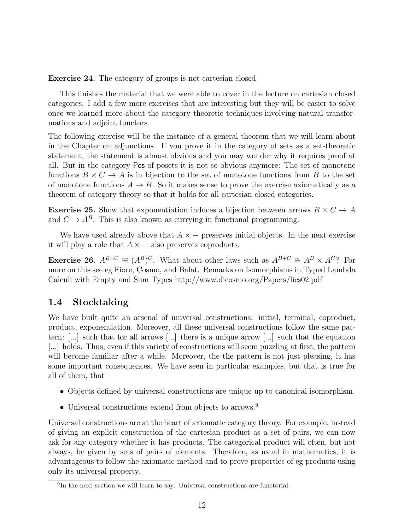Exercise 24. The category of groups is not cartesian closed.

This finishes the material that we were able to cover in the lecture on cartesian closed categories. I add a few more exercises that are interesting but they will be easier to solve once we learned more about the category theoretic techniques involving natural transformations and adjoint functors.

The following exercise will be the instance of a general theorem that we will learn about in the Chapter on adjunctions. If you prove it in the category of sets as a set-theoretic statement, the statement is almost obvious and you may wonder why it requires proof at all. But in the category Pos of posets it is not so obvious anymore: The set of monotone functions  $B \times C \to A$  is in bijection to the set of monotone functions from B to the set of monotone functions  $A \to B$ . So it makes sense to prove the exercise axiomatically as a theorem of category theory so that it holds for all cartesian closed categories.

**Exercise 25.** Show that exponentiation induces a bijection between arrows  $B \times C \rightarrow A$ and  $C \to A^B$ . This is also known as currying in functional programming.

We have used already above that  $A \times -$  preserves initial objects. In the next exercise it will play a role that  $A \times -$  also preserves coproducts.

**Exercise 26.**  $A^{B \times C} \cong (A^B)^C$ . What about other laws such as  $A^{B+C} \cong A^B \times A^{C}$ ? For more on this see eg Fiore, Cosmo, and Balat. Remarks on Isomorphisms in Typed Lambda Calculi with Empty and Sum Types http://www.dicosmo.org/Papers/lics02.pdf

#### <span id="page-11-0"></span>1.4 Stocktaking

We have built quite an arsenal of universal constructions: initial, terminal, coproduct, product, exponentiation. Moreover, all these universal constructions follow the same pattern: [...] such that for all arrows [...] there is a unique arrow [...] such that the equation [...] holds. Thus, even if this variety of constructions will seem puzzling at first, the pattern will become familiar after a while. Moreover, the the pattern is not just pleasing, it has some important consequences. We have seen in particular examples, but that is true for all of them, that

- Objects defined by universal constructions are unique up to canonical isomorphism.
- Universal constructions extend from objects to arrows.<sup>[9](#page-11-1)</sup>

Universal constructions are at the heart of axiomatic category theory. For example, instead of giving an explicit construction of the cartesian product as a set of pairs, we can now ask for any category whether it has products. The categorical product will often, but not always, be given by sets of pairs of elements. Therefore, as usual in mathematics, it is advantageous to follow the axiomatic method and to prove properties of eg products using only its universal property.

<span id="page-11-1"></span><sup>&</sup>lt;sup>9</sup>In the next section we will learn to say: Universal constructions are functorial.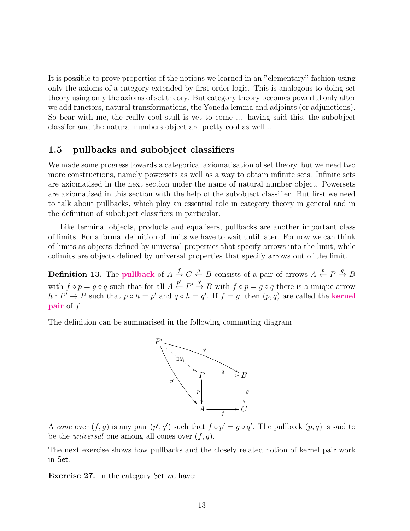It is possible to prove properties of the notions we learned in an "elementary" fashion using only the axioms of a category extended by first-order logic. This is analogous to doing set theory using only the axioms of set theory. But category theory becomes powerful only after we add functors, natural transformations, the Yoneda lemma and adjoints (or adjunctions). So bear with me, the really cool stuff is yet to come ... having said this, the subobject classifer and the natural numbers object are pretty cool as well ...

#### <span id="page-12-0"></span>1.5 pullbacks and subobject classifiers

We made some progress towards a categorical axiomatisation of set theory, but we need two more constructions, namely powersets as well as a way to obtain infinite sets. Infinite sets are axiomatised in the next section under the name of natural number object. Powersets are axiomatised in this section with the help of the subobject classifier. But first we need to talk about pullbacks, which play an essential role in category theory in general and in the definition of subobject classifiers in particular.

Like terminal objects, products and equalisers, pullbacks are another important class of limits. For a formal definition of limits we have to wait until later. For now we can think of limits as objects defined by universal properties that specify arrows into the limit, while colimits are objects defined by universal properties that specify arrows out of the limit.

**Definition 13.** The **pullback** of  $A \stackrel{f}{\rightarrow} C \stackrel{g}{\leftarrow} B$  consists of a pair of arrows  $A \stackrel{p}{\leftarrow} P \stackrel{q}{\rightarrow} B$ with  $f \circ p = g \circ q$  such that for all  $A \stackrel{p'}{\leftarrow} P' \stackrel{q'}{\rightarrow} B$  with  $f \circ p = g \circ q$  there is a unique arrow  $h: P' \to P$  such that  $p \circ h = p'$  and  $q \circ h = q'$ . If  $f = g$ , then  $(p, q)$  are called the **kernel pair** of  $f$ .

The definition can be summarised in the following commuting diagram



A cone over  $(f, g)$  is any pair  $(p', q')$  such that  $f \circ p' = g \circ q'$ . The pullback  $(p, q)$  is said to be the *universal* one among all cones over  $(f, g)$ .

The next exercise shows how pullbacks and the closely related notion of kernel pair work in Set.

<span id="page-12-1"></span>Exercise 27. In the category Set we have: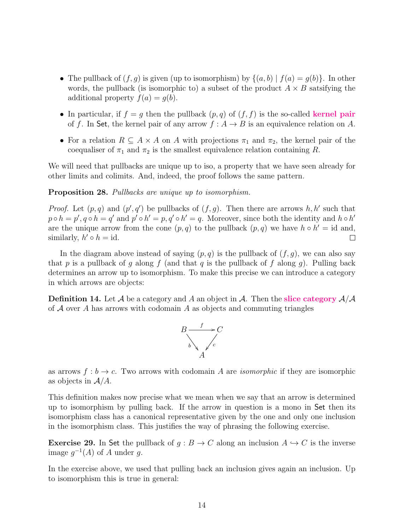- The pullback of  $(f, g)$  is given (up to isomorphism) by  $\{(a, b) | f(a) = g(b)\}\$ . In other words, the pullback (is isomorphic to) a subset of the product  $A \times B$  satsifying the additional property  $f(a) = g(b)$ .
- In particular, if  $f = g$  then the pullback  $(p, q)$  of  $(f, f)$  is the so-called kernel pair of f. In Set, the kernel pair of any arrow  $f : A \to B$  is an equivalence relation on A.
- For a relation  $R \subseteq A \times A$  on A with projections  $\pi_1$  and  $\pi_2$ , the kernel pair of the coequaliser of  $\pi_1$  and  $\pi_2$  is the smallest equivalence relation containing R.

We will need that pullbacks are unique up to iso, a property that we have seen already for other limits and colimits. And, indeed, the proof follows the same pattern.

Proposition 28. Pullbacks are unique up to isomorphism.

*Proof.* Let  $(p, q)$  and  $(p', q')$  be pullbacks of  $(f, g)$ . Then there are arrows h, h' such that  $p \circ h = p', q \circ h = q'$  and  $p' \circ h' = p, q' \circ h' = q$ . Moreover, since both the identity and  $h \circ h'$ are the unique arrow from the cone  $(p, q)$  to the pullback  $(p, q)$  we have  $h \circ h' = id$  and, similarly,  $h' \circ h = id$ .  $\Box$ 

In the diagram above instead of saying  $(p, q)$  is the pullback of  $(f, g)$ , we can also say that p is a pullback of g along f (and that q is the pullback of f along q). Pulling back determines an arrow up to isomorphism. To make this precise we can introduce a category in which arrows are objects:

**Definition 14.** Let  $\mathcal A$  be a category and  $\mathcal A$  an object in  $\mathcal A$ . Then the **slice category**  $\mathcal A/\mathcal A$ of  $A$  over A has arrows with codomain A as objects and commuting triangles



as arrows  $f : b \to c$ . Two arrows with codomain A are *isomorphic* if they are isomorphic as objects in  $A/A$ .

This definition makes now precise what we mean when we say that an arrow is determined up to isomorphism by pulling back. If the arrow in question is a mono in Set then its isomorphism class has a canonical representative given by the one and only one inclusion in the isomorphism class. This justifies the way of phrasing the following exercise.

<span id="page-13-0"></span>**Exercise 29.** In Set the pullback of  $g : B \to C$  along an inclusion  $A \hookrightarrow C$  is the inverse image  $g^{-1}(A)$  of A under g.

In the exercise above, we used that pulling back an inclusion gives again an inclusion. Up to isomorphism this is true in general: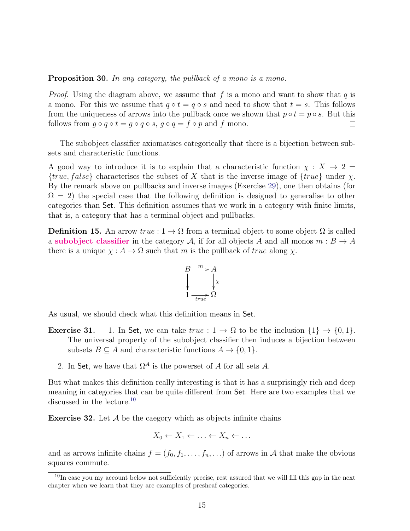Proposition 30. In any category, the pullback of a mono is a mono.

*Proof.* Using the diagram above, we assume that f is a mono and want to show that q is a mono. For this we assume that  $q \circ t = q \circ s$  and need to show that  $t = s$ . This follows from the uniqueness of arrows into the pullback once we shown that  $p \circ t = p \circ s$ . But this follows from  $g \circ q \circ t = g \circ q \circ s$ ,  $g \circ q = f \circ p$  and f mono.  $\Box$ 

The subobject classifier axiomatises categorically that there is a bijection between subsets and characteristic functions.

A good way to introduce it is to explain that a characteristic function  $\chi : X \to 2 =$  ${true, false}$  characterises the subset of X that is the inverse image of  ${true}$  under  $\chi$ . By the remark above on pullbacks and inverse images (Exercise [29\)](#page-13-0), one then obtains (for  $\Omega = 2$ ) the special case that the following definition is designed to generalise to other categories than Set. This definition assumes that we work in a category with finite limits, that is, a category that has a terminal object and pullbacks.

**Definition 15.** An arrow  $true: 1 \to \Omega$  from a terminal object to some object  $\Omega$  is called a subobject classifier in the category A, if for all objects A and all monos  $m : B \to A$ there is a unique  $\chi : A \to \Omega$  such that m is the pullback of true along  $\chi$ .



As usual, we should check what this definition means in Set.

- **Exercise 31.** 1. In Set, we can take  $true: 1 \rightarrow \Omega$  to be the inclusion  $\{1\} \rightarrow \{0, 1\}$ . The universal property of the subobject classifier then induces a bijection between subsets  $B \subseteq A$  and characteristic functions  $A \to \{0, 1\}.$ 
	- 2. In Set, we have that  $\Omega^A$  is the powerset of A for all sets A.

But what makes this definition really interesting is that it has a surprisingly rich and deep meaning in categories that can be quite different from Set. Here are two examples that we discussed in the lecture.<sup>[10](#page-14-0)</sup>

**Exercise 32.** Let  $\mathcal A$  be the caegory which as objects infinite chains

$$
X_0 \leftarrow X_1 \leftarrow \ldots \leftarrow X_n \leftarrow \ldots
$$

and as arrows infinite chains  $f = (f_0, f_1, \ldots, f_n, \ldots)$  of arrows in A that make the obvious squares commute.

<span id="page-14-0"></span><sup>&</sup>lt;sup>10</sup>In case you my account below not sufficiently precise, rest assured that we will fill this gap in the next chapter when we learn that they are examples of presheaf categories.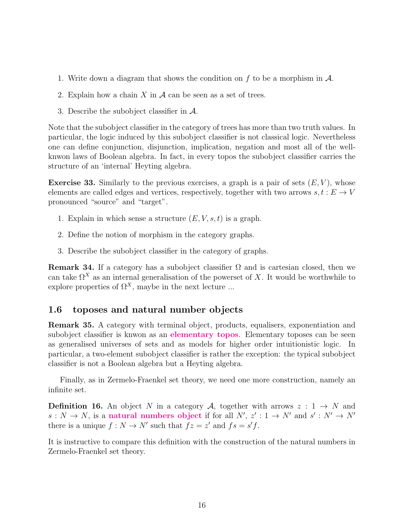- 1. Write down a diagram that shows the condition on f to be a morphism in  $\mathcal{A}$ .
- 2. Explain how a chain  $X$  in  $A$  can be seen as a set of trees.
- 3. Describe the subobject classifier in A.

Note that the subobject classifier in the category of trees has more than two truth values. In particular, the logic induced by this subobject classifier is not classical logic. Nevertheless one can define conjunction, disjunction, implication, negation and most all of the wellknwon laws of Boolean algebra. In fact, in every topos the subobject classifier carries the structure of an 'internal' Heyting algebra.

**Exercise 33.** Similarly to the previous exercises, a graph is a pair of sets  $(E, V)$ , whose elements are called edges and vertices, respectively, together with two arrows  $s, t : E \to V$ pronounced "source" and "target".

- 1. Explain in which sense a structure  $(E, V, s, t)$  is a graph.
- 2. Define the notion of morphism in the category graphs.
- 3. Describe the subobject classifier in the category of graphs.

**Remark 34.** If a category has a subobject classifier  $\Omega$  and is cartesian closed, then we can take  $\Omega^X$  as an internal generalisation of the powerset of X. It would be worthwhile to explore properties of  $\Omega^X$ , maybe in the next lecture ...

#### <span id="page-15-0"></span>1.6 toposes and natural number objects

Remark 35. A category with terminal object, products, equalisers, exponentiation and subobject classifier is knwon as an elementary topos. Elementary toposes can be seen as generalised universes of sets and as models for higher order intuitionistic logic. In particular, a two-element subobject classifier is rather the exception: the typical subobject classifier is not a Boolean algebra but a Heyting algebra.

Finally, as in Zermelo-Fraenkel set theory, we need one more construction, namely an infinite set.

**Definition 16.** An object N in a category A, together with arrows  $z : 1 \rightarrow N$  and  $s: N \to N$ , is a natural numbers object if for all  $N', z' : 1 \to N'$  and  $s' : N' \to N'$ there is a unique  $f: N \to N'$  such that  $fz = z'$  and  $fs = s'f$ .

It is instructive to compare this definition with the construction of the natural numbers in Zermelo-Fraenkel set theory.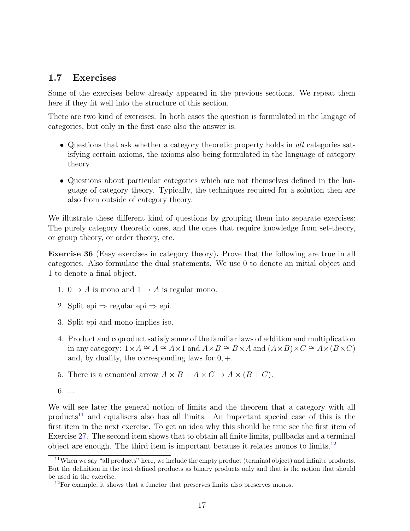#### <span id="page-16-0"></span>1.7 Exercises

Some of the exercises below already appeared in the previous sections. We repeat them here if they fit well into the structure of this section.

There are two kind of exercises. In both cases the question is formulated in the langage of categories, but only in the first case also the answer is.

- Questions that ask whether a category theoretic property holds in all categories satisfying certain axioms, the axioms also being formulated in the language of category theory.
- Questions about particular categories which are not themselves defined in the language of category theory. Typically, the techniques required for a solution then are also from outside of category theory.

We illustrate these different kind of questions by grouping them into separate exercises: The purely category theoretic ones, and the ones that require knowledge from set-theory, or group theory, or order theory, etc.

Exercise 36 (Easy exercises in category theory). Prove that the following are true in all categories. Also formulate the dual statements. We use 0 to denote an initial object and 1 to denote a final object.

- 1.  $0 \to A$  is mono and  $1 \to A$  is regular mono.
- 2. Split epi  $\Rightarrow$  regular epi  $\Rightarrow$  epi.
- 3. Split epi and mono implies iso.
- 4. Product and coproduct satisfy some of the familiar laws of addition and multiplication in any category:  $1 \times A \cong A \cong A \times 1$  and  $A \times B \cong B \times A$  and  $(A \times B) \times C \cong A \times (B \times C)$ and, by duality, the corresponding laws for  $0, +$ .
- 5. There is a canonical arrow  $A \times B + A \times C \rightarrow A \times (B + C)$ .
- 6. ...

We will see later the general notion of limits and the theorem that a category with all products<sup>[11](#page-16-1)</sup> and equalisers also has all limits. An important special case of this is the first item in the next exercise. To get an idea why this should be true see the first item of Exercise [27.](#page-12-1) The second item shows that to obtain all finite limits, pullbacks and a terminal object are enough. The third item is important because it relates monos to limits.[12](#page-16-2)

<span id="page-16-1"></span><sup>&</sup>lt;sup>11</sup>When we say "all products" here, we include the empty product (terminal object) and infinite products. But the definition in the text defined products as binary products only and that is the notion that should be used in the exercise.

<span id="page-16-2"></span> $12$ For example, it shows that a functor that preserves limits also preserves monos.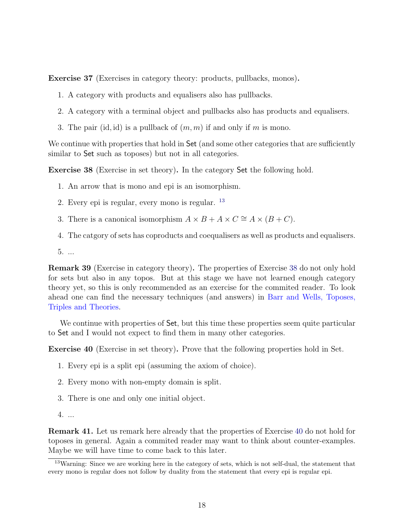Exercise 37 (Exercises in category theory: products, pullbacks, monos).

- 1. A category with products and equalisers also has pullbacks.
- 2. A category with a terminal object and pullbacks also has products and equalisers.
- 3. The pair (id, id) is a pullback of  $(m, m)$  if and only if m is mono.

We continue with properties that hold in Set (and some other categories that are sufficiently similar to Set such as toposes) but not in all categories.

<span id="page-17-1"></span>Exercise 38 (Exercise in set theory). In the category Set the following hold.

- 1. An arrow that is mono and epi is an isomorphism.
- 2. Every epi is regular, every mono is regular. [13](#page-17-0)
- 3. There is a canonical isomorphism  $A \times B + A \times C \cong A \times (B + C)$ .
- 4. The catgory of sets has coproducts and coequalisers as well as products and equalisers.
- 5. ...

Remark 39 (Exercise in category theory). The properties of Exercise [38](#page-17-1) do not only hold for sets but also in any topos. But at this stage we have not learned enough category theory yet, so this is only recommended as an exercise for the commited reader. To look ahead one can find the necessary techniques (and answers) in [Barr and Wells, Toposes,](http://www.tac.mta.ca/tac/reprints/articles/12/tr12.pdf) [Triples and Theories.](http://www.tac.mta.ca/tac/reprints/articles/12/tr12.pdf)

We continue with properties of Set, but this time these properties seem quite particular to Set and I would not expect to find them in many other categories.

<span id="page-17-2"></span>Exercise 40 (Exercise in set theory). Prove that the following properties hold in Set.

- 1. Every epi is a split epi (assuming the axiom of choice).
- 2. Every mono with non-empty domain is split.
- 3. There is one and only one initial object.
- 4. ...

Remark 41. Let us remark here already that the properties of Exercise [40](#page-17-2) do not hold for toposes in general. Again a commited reader may want to think about counter-examples. Maybe we will have time to come back to this later.

<span id="page-17-0"></span><sup>&</sup>lt;sup>13</sup>Warning: Since we are working here in the category of sets, which is not self-dual, the statement that every mono is regular does not follow by duality from the statement that every epi is regular epi.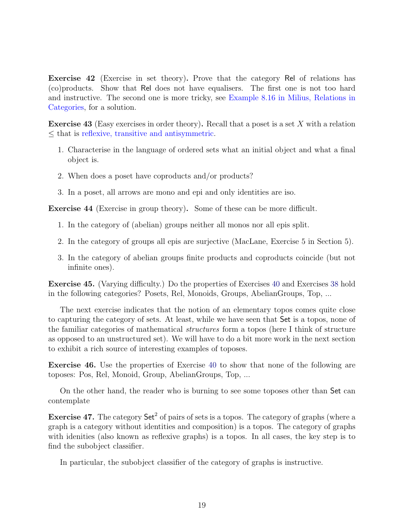Exercise 42 (Exercise in set theory). Prove that the category Rel of relations has (co)products. Show that Rel does not have equalisers. The first one is not too hard and instructive. The second one is more tricky, see [Example 8.16 in Milius, Relations in](https://www8.cs.fau.de/staff/milius/thesis/thesis_a4.pdf) [Categories,](https://www8.cs.fau.de/staff/milius/thesis/thesis_a4.pdf) for a solution.

Exercise 43 (Easy exercises in order theory). Recall that a poset is a set X with a relation ≤ that is [reflexive, transitive and antisymmetric.](https://en.wikipedia.org/wiki/Partially_ordered_set)

- 1. Characterise in the language of ordered sets what an initial object and what a final object is.
- 2. When does a poset have coproducts and/or products?
- 3. In a poset, all arrows are mono and epi and only identities are iso.

Exercise 44 (Exercise in group theory). Some of these can be more difficult.

- 1. In the category of (abelian) groups neither all monos nor all epis split.
- 2. In the category of groups all epis are surjective (MacLane, Exercise 5 in Section 5).
- 3. In the category of abelian groups finite products and coproducts coincide (but not infinite ones).

Exercise 45. (Varying difficulty.) Do the properties of Exercises [40](#page-17-2) and Exercises [38](#page-17-1) hold in the following categories? Posets, Rel, Monoids, Groups, AbelianGroups, Top, ...

The next exercise indicates that the notion of an elementary topos comes quite close to capturing the category of sets. At least, while we have seen that Set is a topos, none of the familiar categories of mathematical structures form a topos (here I think of structure as opposed to an unstructured set). We will have to do a bit more work in the next section to exhibit a rich source of interesting examples of toposes.

Exercise 46. Use the properties of Exercise [40](#page-17-2) to show that none of the following are toposes: Pos, Rel, Monoid, Group, AbelianGroups, Top, ...

On the other hand, the reader who is burning to see some toposes other than Set can contemplate

**Exercise 47.** The category  $\text{Set}^2$  of pairs of sets is a topos. The category of graphs (where a graph is a category without identities and composition) is a topos. The category of graphs with idenities (also known as reflexive graphs) is a topos. In all cases, the key step is to find the subobject classifier.

In particular, the subobject classifier of the category of graphs is instructive.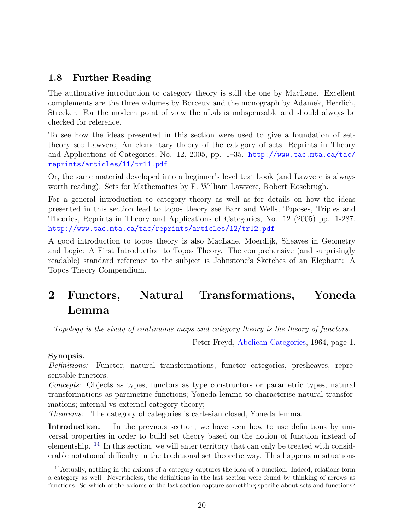### <span id="page-19-0"></span>1.8 Further Reading

The authorative introduction to category theory is still the one by MacLane. Excellent complements are the three volumes by Borceux and the monograph by Adamek, Herrlich, Strecker. For the modern point of view the nLab is indispensable and should always be checked for reference.

To see how the ideas presented in this section were used to give a foundation of settheory see Lawvere, An elementary theory of the category of sets, Reprints in Theory and Applications of Categories, No. 12, 2005, pp. 1–35. [http://www.tac.mta.ca/tac/](http://www.tac.mta.ca/tac/reprints/articles/11/tr11.pdf) [reprints/articles/11/tr11.pdf](http://www.tac.mta.ca/tac/reprints/articles/11/tr11.pdf)

Or, the same material developed into a beginner's level text book (and Lawvere is always worth reading): Sets for Mathematics by F. William Lawvere, Robert Rosebrugh.

For a general introduction to category theory as well as for details on how the ideas presented in this section lead to topos theory see Barr and Wells, Toposes, Triples and Theories, Reprints in Theory and Applications of Categories, No. 12 (2005) pp. 1-287. <http://www.tac.mta.ca/tac/reprints/articles/12/tr12.pdf>

A good introduction to topos theory is also MacLane, Moerdijk, Sheaves in Geometry and Logic: A First Introduction to Topos Theory. The comprehensive (and surprisingly readable) standard reference to the subject is Johnstone's Sketches of an Elephant: A Topos Theory Compendium.

## <span id="page-19-1"></span>2 Functors, Natural Transformations, Yoneda Lemma

Topology is the study of continuous maps and category theory is the theory of functors.

Peter Freyd, [Abeliean Categories,](http://www.tac.mta.ca/tac/reprints/articles/3/tr3abs.html) 1964, page 1.

#### Synopsis.

Definitions: Functor, natural transformations, functor categories, presheaves, representable functors.

Concepts: Objects as types, functors as type constructors or parametric types, natural transformations as parametric functions; Yoneda lemma to characterise natural transformations; internal vs external category theory;

Theorems: The category of categories is cartesian closed, Yoneda lemma.

Introduction. In the previous section, we have seen how to use definitions by universal properties in order to build set theory based on the notion of function instead of elementship. <sup>[14](#page-19-2)</sup> In this section, we will enter territory that can only be treated with considerable notational difficulty in the traditional set theoretic way. This happens in situations

<span id="page-19-2"></span><sup>14</sup>Actually, nothing in the axioms of a category captures the idea of a function. Indeed, relations form a category as well. Nevertheless, the definitions in the last section were found by thinking of arrows as functions. So which of the axioms of the last section capture something specific about sets and functions?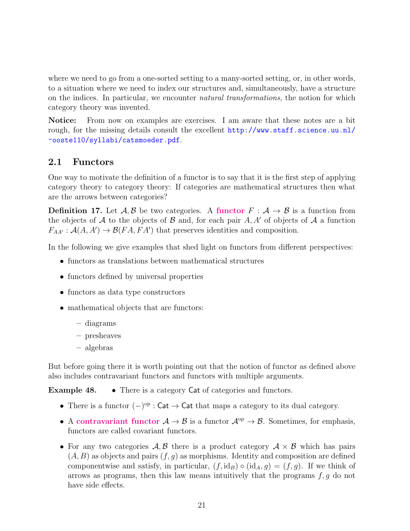where we need to go from a one-sorted setting to a many-sorted setting, or, in other words, to a situation where we need to index our structures and, simultaneously, have a structure on the indices. In particular, we encounter *natural transformations*, the notion for which category theory was invented.

Notice: From now on examples are exercises. I am aware that these notes are a bit rough, for the missing details consult the excellent [http://www.staff.science.uu.nl/](http://www.staff.science.uu.nl/~ooste110/syllabi/catsmoeder.pdf) [~ooste110/syllabi/catsmoeder.pdf](http://www.staff.science.uu.nl/~ooste110/syllabi/catsmoeder.pdf).

#### <span id="page-20-0"></span>2.1 Functors

One way to motivate the definition of a functor is to say that it is the first step of applying category theory to category theory: If categories are mathematical structures then what are the arrows between categories?

**Definition 17.** Let  $\mathcal{A}, \mathcal{B}$  be two categories. A functor  $F : \mathcal{A} \to \mathcal{B}$  is a function from the objects of A to the objects of B and, for each pair  $A, A'$  of objects of A a function  $F_{AA'} : \mathcal{A}(A, A') \to \mathcal{B}(FA, FA')$  that preserves identities and composition.

In the following we give examples that shed light on functors from different perspectives:

- functors as translations between mathematical structures
- functors defined by universal properties
- functors as data type constructors
- mathematical objects that are functors:
	- diagrams
	- presheaves
	- algebras

But before going there it is worth pointing out that the notion of functor as defined above also includes contravariant functors and functors with multiple arguments.

Example 48. • There is a category Cat of categories and functors.

- There is a functor  $(-)^\text{op}$ : Cat  $\rightarrow$  Cat that maps a category to its dual category.
- A contravariant functor  $A \to B$  is a functor  $A^{op} \to B$ . Sometimes, for emphasis, functors are called covariant functors.
- For any two categories  $A, B$  there is a product category  $A \times B$  which has pairs  $(A, B)$  as objects and pairs  $(f, g)$  as morphisms. Identity and composition are defined componentwise and satisfy, in particular,  $(f, id_B) \circ (id_A, g) = (f, g)$ . If we think of arrows as programs, then this law means intuitively that the programs  $f, g$  do not have side effects.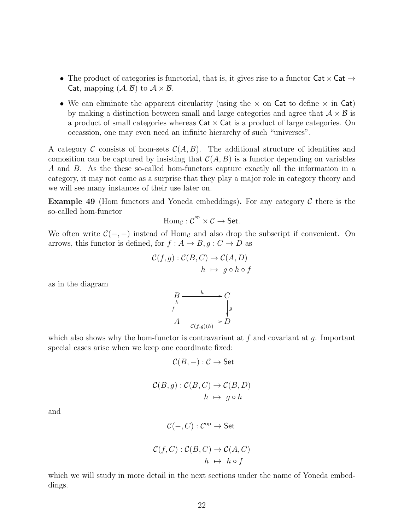- The product of categories is functorial, that is, it gives rise to a functor  $\text{Cat} \times \text{Cat} \rightarrow$ Cat, mapping  $(\mathcal{A}, \mathcal{B})$  to  $\mathcal{A} \times \mathcal{B}$ .
- We can eliminate the apparent circularity (using the  $\times$  on Cat to define  $\times$  in Cat) by making a distinction between small and large categories and agree that  $A \times B$  is a product of small categories whereas  $\textsf{Cat} \times \textsf{Cat}$  is a product of large categories. On occassion, one may even need an infinite hierarchy of such "universes".

A category C consists of hom-sets  $\mathcal{C}(A, B)$ . The additional structure of identities and comosition can be captured by insisting that  $\mathcal{C}(A, B)$  is a functor depending on variables A and B. As the these so-called hom-functors capture exactly all the information in a category, it may not come as a surprise that they play a major role in category theory and we will see many instances of their use later on.

**Example 49** (Hom functors and Yoneda embeddings). For any category  $\mathcal C$  there is the so-called hom-functor

$$
\operatorname{Hom}_{\mathcal C}: \mathcal C^{\operatorname{op}} \times \mathcal C \to \mathsf{Set}.
$$

We often write  $\mathcal{C}(-, -)$  instead of Hom<sub>c</sub> and also drop the subscript if convenient. On arrows, this functor is defined, for  $f : A \to B$ ,  $g : C \to D$  as

$$
\mathcal{C}(f,g) : \mathcal{C}(B,C) \to \mathcal{C}(A,D)
$$
  

$$
h \mapsto g \circ h \circ f
$$

as in the diagram

$$
B \xrightarrow{h} C
$$
  

$$
f \downarrow \qquad \qquad \downarrow g
$$
  

$$
A \xrightarrow{c(f,g)(h)} D
$$

which also shows why the hom-functor is contravariant at  $f$  and covariant at  $g$ . Important special cases arise when we keep one coordinate fixed:

$$
\mathcal{C}(B,-): \mathcal{C} \to \mathsf{Set}
$$

$$
\mathcal{C}(B,g) : \mathcal{C}(B,C) \to \mathcal{C}(B,D)
$$
  

$$
h \mapsto g \circ h
$$

and

$$
\mathcal{C}(-,C):\mathcal{C}^\mathrm{op}\to\mathsf{Set}
$$

$$
\mathcal{C}(f,C) : \mathcal{C}(B,C) \to \mathcal{C}(A,C)
$$
  

$$
h \mapsto h \circ f
$$

which we will study in more detail in the next sections under the name of Yoneda embeddings.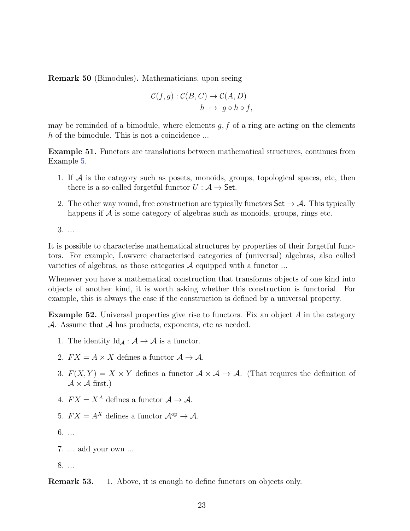Remark 50 (Bimodules). Mathematicians, upon seeing

$$
\mathcal{C}(f,g) : \mathcal{C}(B,C) \to \mathcal{C}(A,D)
$$
  

$$
h \mapsto g \circ h \circ f,
$$

may be reminded of a bimodule, where elements  $g, f$  of a ring are acting on the elements h of the bimodule. This is not a coincidence ...

Example 51. Functors are translations between mathematical structures, continues from Example [5.](#page-3-1)

- 1. If  $A$  is the category such as posets, monoids, groups, topological spaces, etc, then there is a so-called forgetful functor  $U : A \rightarrow$  Set.
- 2. The other way round, free construction are typically functors  $\mathsf{Set} \to \mathcal{A}$ . This typically happens if  $\mathcal A$  is some category of algebras such as monoids, groups, rings etc.

3. ...

It is possible to characterise mathematical structures by properties of their forgetful functors. For example, Lawvere characterised categories of (universal) algebras, also called varieties of algebras, as those categories  $A$  equipped with a functor ...

Whenever you have a mathematical construction that transforms objects of one kind into objects of another kind, it is worth asking whether this construction is functorial. For example, this is always the case if the construction is defined by a universal property.

**Example 52.** Universal properties give rise to functors. Fix an object  $A$  in the category A. Assume that  $A$  has products, exponents, etc as needed.

- 1. The identity  $\mathrm{Id}_{\mathcal{A}} : \mathcal{A} \to \mathcal{A}$  is a functor.
- 2.  $FX = A \times X$  defines a functor  $A \rightarrow A$ .
- 3.  $F(X, Y) = X \times Y$  defines a functor  $\mathcal{A} \times \mathcal{A} \to \mathcal{A}$ . (That requires the definition of  $A \times A$  first.)
- 4.  $FX = X^A$  defines a functor  $A \rightarrow A$ .
- 5.  $FX = A^X$  defines a functor  $\mathcal{A}^{op} \to \mathcal{A}$ .
- 6. ...
- 7. ... add your own ...

8. ...

**Remark 53.** 1. Above, it is enough to define functors on objects only.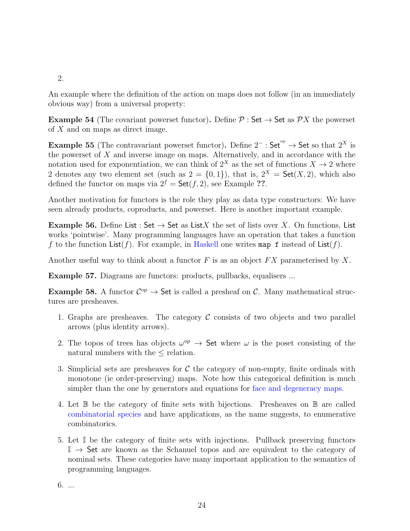#### 2.

An example where the definition of the action on maps does not follow (in an immediately obvious way) from a universal property:

Example 54 (The covariant powerset functor). Define  $P : Set \rightarrow Set$  as  $\mathcal{P}X$  the powerset of  $X$  and on maps as direct image.

Example 55 (The contravariant powerset functor). Define  $2^-$ : Set<sup>op</sup> → Set so that  $2^X$  is the powerset of  $X$  and inverse image on maps. Alternatively, and in accordance with the notation used for exponentiation, we can think of  $2^X$  as the set of functions  $X \to 2$  where 2 denotes any two element set (such as  $2 = \{0, 1\}$ ), that is,  $2^X = \mathsf{Set}(X, 2)$ , which also defined the functor on maps via  $2^f = \mathsf{Set}(f, 2)$ , see Example ??.

Another motivation for functors is the role they play as data type constructors: We have seen already products, coproducts, and powerset. Here is another important example.

**Example 56.** Define List : Set  $\rightarrow$  Set as List X the set of lists over X. On functions, List works 'pointwise'. Many programming languages have an operation that takes a function f to the function  $List(f)$ . For example, in [Haskell](https://hoogle.haskell.org/?hoogle=map) one writes map f instead of  $List(f)$ .

Another useful way to think about a functor  $F$  is as an object  $FX$  parameterised by  $X$ .

Example 57. Diagrams are functors: products, pullbacks, equalisers ...

Example 58. A functor  $\mathcal{C}^{op} \to$  Set is called a presheaf on C. Many mathematical structures are presheaves.

- 1. Graphs are presheaves. The category  $\mathcal C$  consists of two objects and two parallel arrows (plus identity arrows).
- 2. The topos of trees has objects  $\omega^{\rm op} \to$  Set where  $\omega$  is the poset consisting of the natural numbers with the  $\leq$  relation.
- 3. Simplicial sets are presheaves for  $\mathcal C$  the category of non-empty, finite ordinals with monotone (ie order-preserving) maps. Note how this categorical definition is much simpler than the one by generators and equations for [face and degeneracy maps.](https://en.wikipedia.org/wiki/Simplicial_set)
- 4. Let B be the category of finite sets with bijections. Presheaves on B are called [combinatorial species](https://en.wikipedia.org/wiki/Combinatorial_species) and have applications, as the name suggests, to enumerative combinatorics.
- 5. Let I be the category of finite sets with injections. Pullback preserving functors  $\mathbb{I} \to$  Set are known as the Schanuel topos and are equivalent to the category of nominal sets. These categories have many important application to the semantics of programming languages.

6. ...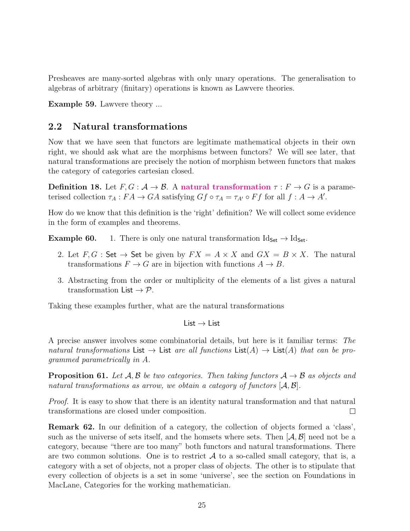Presheaves are many-sorted algebras with only unary operations. The generalisation to algebras of arbitrary (finitary) operations is known as Lawvere theories.

Example 59. Lawvere theory ...

#### <span id="page-24-0"></span>2.2 Natural transformations

Now that we have seen that functors are legitimate mathematical objects in their own right, we should ask what are the morphisms between functors? We will see later, that natural transformations are precisely the notion of morphism between functors that makes the category of categories cartesian closed.

Definition 18. Let  $F, G : \mathcal{A} \to \mathcal{B}$ . A natural transformation  $\tau : F \to G$  is a parameterised collection  $\tau_A : FA \to GA$  satisfying  $Gf \circ \tau_A = \tau_{A'} \circ Ff$  for all  $f : A \to A'$ .

How do we know that this definition is the 'right' definition? We will collect some evidence in the form of examples and theorems.

**Example 60.** 1. There is only one natural transformation  $Id_{Set} \rightarrow Id_{Set}$ .

- 2. Let  $F, G :$  Set  $\rightarrow$  Set be given by  $FX = A \times X$  and  $GX = B \times X$ . The natural transformations  $F \to G$  are in bijection with functions  $A \to B$ .
- 3. Abstracting from the order or multiplicity of the elements of a list gives a natural transformation List  $\rightarrow \mathcal{P}$ .

Taking these examples further, what are the natural transformations

List  $\rightarrow$  List

A precise answer involves some combinatorial details, but here is it familiar terms: The natural transformations List  $\rightarrow$  List are all functions List(A)  $\rightarrow$  List(A) that can be programmed parametrically in A.

**Proposition 61.** Let  $A, B$  be two categories. Then taking functors  $A \rightarrow B$  as objects and natural transformations as arrow, we obtain a category of functors  $[A, \mathcal{B}]$ .

Proof. It is easy to show that there is an identity natural transformation and that natural transformations are closed under composition.  $\Box$ 

Remark 62. In our definition of a category, the collection of objects formed a 'class', such as the universe of sets itself, and the homsets where sets. Then  $(A, \mathcal{B}]$  need not be a category, because "there are too many" both functors and natural transformations. There are two common solutions. One is to restrict  $A$  to a so-called small category, that is, a category with a set of objects, not a proper class of objects. The other is to stipulate that every collection of objects is a set in some 'universe', see the section on Foundations in MacLane, Categories for the working mathematician.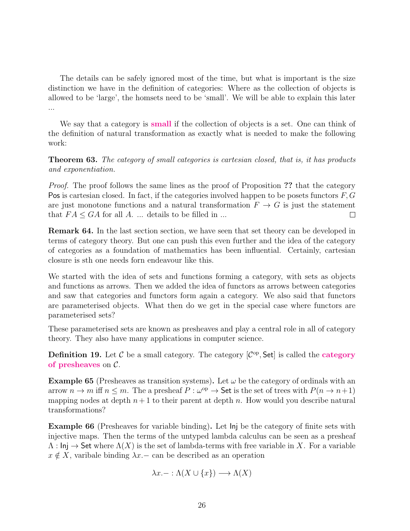The details can be safely ignored most of the time, but what is important is the size distinction we have in the definition of categories: Where as the collection of objects is allowed to be 'large', the homsets need to be 'small'. We will be able to explain this later ...

We say that a category is **small** if the collection of objects is a set. One can think of the definition of natural transformation as exactly what is needed to make the following work:

Theorem 63. The category of small categories is cartesian closed, that is, it has products and exponentiation.

Proof. The proof follows the same lines as the proof of Proposition ?? that the category Pos is cartesian closed. In fact, if the categories involved happen to be posets functors  $F, G$ are just monotone functions and a natural transformation  $F \to G$  is just the statement that  $FA \leq GA$  for all A. ... details to be filled in ...  $\Box$ 

Remark 64. In the last section section, we have seen that set theory can be developed in terms of category theory. But one can push this even further and the idea of the category of categories as a foundation of mathematics has been influential. Certainly, cartesian closure is sth one needs forn endeavour like this.

We started with the idea of sets and functions forming a category, with sets as objects and functions as arrows. Then we added the idea of functors as arrows between categories and saw that categories and functors form again a category. We also said that functors are parameterised objects. What then do we get in the special case where functors are parameterised sets?

These parameterised sets are known as presheaves and play a central role in all of category theory. They also have many applications in computer science.

**Definition 19.** Let  $C$  be a small category. The category  $[C^{op}, \text{Set}]$  is called the **category** of presheaves on  $\mathcal{C}$ .

**Example 65** (Presheaves as transition systems). Let  $\omega$  be the category of ordinals with an arrow  $n \to m$  iff  $n \leq m$ . The a presheaf  $P : \omega^{\rm op} \to \mathsf{Set}$  is the set of trees with  $P(n \to n+1)$ mapping nodes at depth  $n+1$  to their parent at depth n. How would you describe natural transformations?

Example 66 (Presheaves for variable binding). Let Inj be the category of finite sets with injective maps. Then the terms of the untyped lambda calculus can be seen as a presheaf  $\Lambda : \mathsf{Inj} \to \mathsf{Set}$  where  $\Lambda(X)$  is the set of lambda-terms with free variable in X. For a variable  $x \notin X$ , varibale binding  $\lambda x$ . – can be described as an operation

$$
\lambda x. - : \Lambda(X \cup \{x\}) \longrightarrow \Lambda(X)
$$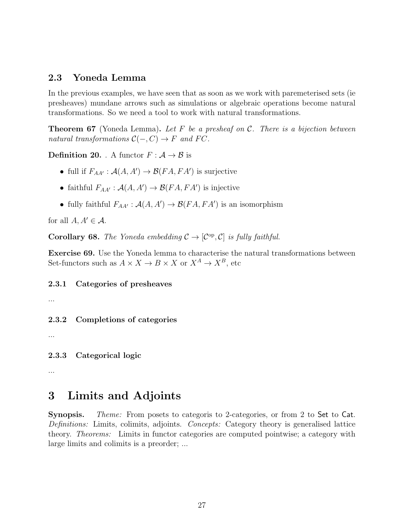#### <span id="page-26-0"></span>2.3 Yoneda Lemma

In the previous examples, we have seen that as soon as we work with paremeterised sets (ie presheaves) mundane arrows such as simulations or algebraic operations become natural transformations. So we need a tool to work with natural transformations.

**Theorem 67** (Yoneda Lemma). Let F be a presheaf on C. There is a bijection between natural transformations  $C(-, C) \rightarrow F$  and FC.

**Definition 20.** . A functor  $F : A \rightarrow B$  is

- full if  $F_{AA'} : \mathcal{A}(A, A') \to \mathcal{B}(FA, FA')$  is surjective
- faithful  $F_{AA'} : \mathcal{A}(A, A') \to \mathcal{B}(FA, FA')$  is injective
- fully faithful  $F_{AA'} : \mathcal{A}(A, A') \to \mathcal{B}(FA, FA')$  is an isomorphism

for all  $A, A' \in \mathcal{A}$ .

**Corollary 68.** The Yoneda embedding  $C \rightarrow [C^{\text{op}}, C]$  is fully faithful.

Exercise 69. Use the Yoneda lemma to characterise the natural transformations between Set-functors such as  $A \times X \to B \times X$  or  $X^A \to X^B$ , etc

<span id="page-26-1"></span>2.3.1 Categories of presheaves

...

<span id="page-26-2"></span>2.3.2 Completions of categories

...

<span id="page-26-3"></span>2.3.3 Categorical logic

...

## <span id="page-26-4"></span>3 Limits and Adjoints

Synopsis. Theme: From posets to categoris to 2-categories, or from 2 to Set to Cat. Definitions: Limits, colimits, adjoints. Concepts: Category theory is generalised lattice theory. Theorems: Limits in functor categories are computed pointwise; a category with large limits and colimits is a preorder; ...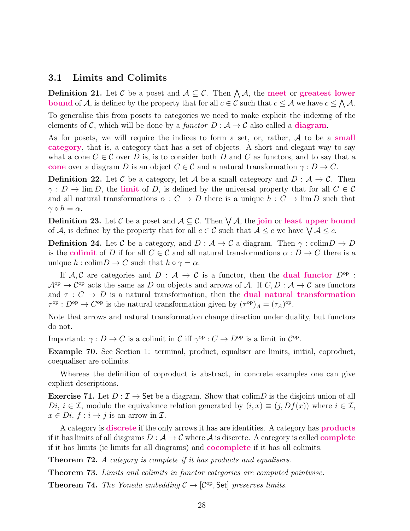#### <span id="page-27-0"></span>3.1 Limits and Colimits

**Definition 21.** Let C be a poset and  $A \subseteq C$ . Then  $\bigwedge A$ , the meet or greatest lower **bound** of A, is defined by the property that for all  $c \in \mathcal{C}$  such that  $c \leq \mathcal{A}$  we have  $c \leq \bigwedge \mathcal{A}$ .

To generalise this from posets to categories we need to make explicit the indexing of the elements of C, which will be done by a functor  $D : A \to C$  also called a **diagram**.

As for posets, we will require the indices to form a set, or, rather,  $A$  to be a small category, that is, a category that has a set of objects. A short and elegant way to say what a cone  $C \in \mathcal{C}$  over D is, is to consider both D and C as functors, and to say that a cone over a diagram D is an object  $C \in \mathcal{C}$  and a natural transformation  $\gamma : D \to C$ .

**Definition 22.** Let C be a category, let A be a small category and  $D : A \rightarrow C$ . Then  $\gamma: D \to \lim D$ , the limit of D, is defined by the universal property that for all  $C \in \mathcal{C}$ and all natural transformations  $\alpha : C \to D$  there is a unique  $h : C \to \lim D$  such that  $\gamma \circ h = \alpha$ .

**Definition 23.** Let C be a poset and  $A \subseteq \mathcal{C}$ . Then  $\bigvee \mathcal{A}$ , the join or least upper bound of A, is defined by the property that for all  $c \in \mathcal{C}$  such that  $\mathcal{A} \leq c$  we have  $\bigvee \mathcal{A} \leq c$ .

**Definition 24.** Let C be a category, and  $D : A \to C$  a diagram. Then  $\gamma : \text{colim} D \to D$ is the colimit of D if for all  $C \in \mathcal{C}$  and all natural transformations  $\alpha : D \to C$  there is a unique  $h : \text{colim} D \to C$  such that  $h \circ \gamma = \alpha$ .

If A, C are categories and  $D : A \to C$  is a functor, then the **dual functor**  $D^{\rm op}$ :  $\mathcal{A}^{\text{op}} \to \mathcal{C}^{\text{op}}$  acts the same as D on objects and arrows of A. If  $C, D : \mathcal{A} \to \mathcal{C}$  are functors and  $\tau : C \to D$  is a natural transformation, then the **dual natural transformation**  $\tau^{\text{op}}: D^{\text{op}} \to C^{\text{op}}$  is the natural transformation given by  $(\tau^{\text{op}})_A = (\tau_A)^{\text{op}}$ .

Note that arrows and natural transformation change direction under duality, but functors do not.

Important:  $\gamma: D \to C$  is a colimit in C iff  $\gamma^{\rm op}: C \to D^{\rm op}$  is a limit in  $C^{\rm op}$ .

Example 70. See Section 1: terminal, product, equaliser are limits, initial, coproduct, coequaliser are colimits.

Whereas the definition of coproduct is abstract, in concrete examples one can give explicit descriptions.

**Exercise 71.** Let  $D: \mathcal{I} \to \mathsf{Set}$  be a diagram. Show that colimps is the disjoint union of all  $Di, i \in \mathcal{I}$ , modulo the equivalence relation generated by  $(i, x) \equiv (j, Df(x))$  where  $i \in \mathcal{I}$ ,  $x \in Di$ ,  $f : i \rightarrow j$  is an arrow in  $\mathcal{I}$ .

A category is **discrete** if the only arrows it has are identities. A category has **products** if it has limits of all diagrams  $D : \mathcal{A} \to \mathcal{C}$  where  $\mathcal{A}$  is discrete. A category is called **complete** if it has limits (ie limits for all diagrams) and cocomplete if it has all colimits.

**Theorem 72.** A category is complete if it has products and equalisers.

Theorem 73. Limits and colimits in functor categories are computed pointwise.

**Theorem 74.** The Yoneda embedding  $C \rightarrow [C^{op}, \text{Set}]$  preserves limits.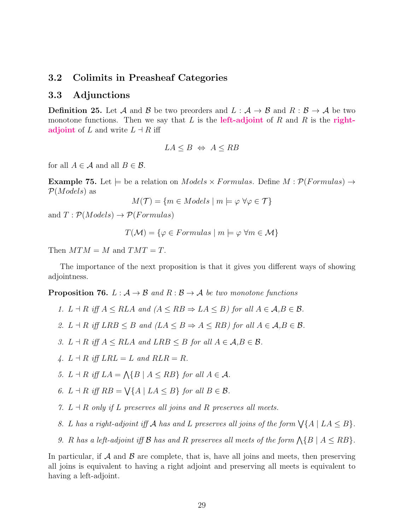#### <span id="page-28-0"></span>3.2 Colimits in Preasheaf Categories

#### <span id="page-28-1"></span>3.3 Adjunctions

**Definition 25.** Let A and B be two preorders and  $L : A \rightarrow B$  and  $R : B \rightarrow A$  be two monotone functions. Then we say that L is the **left-adjoint** of R and R is the **right**adjoint of L and write  $L \dashv R$  iff

$$
LA \leq B \iff A \leq RB
$$

for all  $A \in \mathcal{A}$  and all  $B \in \mathcal{B}$ .

**Example 75.** Let  $\models$  be a relation on *Models*  $\times$  *Formulas.* Define  $M : \mathcal{P}(Formulas) \rightarrow$  $\mathcal{P}(Models)$  as

$$
M(\mathcal{T}) = \{ m \in Models \mid m \models \varphi \,\,\forall \varphi \in \mathcal{T} \}
$$

and  $T: \mathcal{P}(Models) \rightarrow \mathcal{P}(Formulas)$ 

 $T(\mathcal{M}) = \{ \varphi \in Formulas \mid m \models \varphi \ \forall m \in \mathcal{M} \}$ 

Then  $MTM = M$  and  $TMT = T$ .

The importance of the next proposition is that it gives you different ways of showing adjointness.

**Proposition 76.**  $L : \mathcal{A} \to \mathcal{B}$  and  $R : \mathcal{B} \to \mathcal{A}$  be two monotone functions

- 1.  $L \dashv R$  iff  $A \leq RLA$  and  $(A \leq RB \Rightarrow LA \leq B)$  for all  $A \in \mathcal{A}, B \in \mathcal{B}$ .
- 2.  $L \dashv R$  iff  $LRB \leq B$  and  $(LA \leq B \Rightarrow A \leq RB)$  for all  $A \in \mathcal{A}, B \in \mathcal{B}$ .
- 3.  $L \dashv R$  iff  $A \leq RLA$  and  $LRB \leq B$  for all  $A \in \mathcal{A}, B \in \mathcal{B}$ .
- 4.  $L \dashv R$  iff  $LRL = L$  and  $RLR = R$ .
- 5.  $L \dashv R$  iff  $LA = \bigwedge \{B \mid A \leq RB\}$  for all  $A \in \mathcal{A}$ .
- 6.  $L \dashv R$  iff  $RB = \bigvee \{A \mid LA \leq B\}$  for all  $B \in \mathcal{B}$ .
- 7.  $L \dashv R$  only if L preserves all joins and R preserves all meets.
- 8. L has a right-adjoint iff A has and L preserves all joins of the form  $\forall \{A \mid LA \leq B\}$ .
- 9. R has a left-adjoint iff B has and R preserves all meets of the form  $\Lambda\{B \mid A \leq RB\}$ .

In particular, if  $\mathcal A$  and  $\mathcal B$  are complete, that is, have all joins and meets, then preserving all joins is equivalent to having a right adjoint and preserving all meets is equivalent to having a left-adjoint.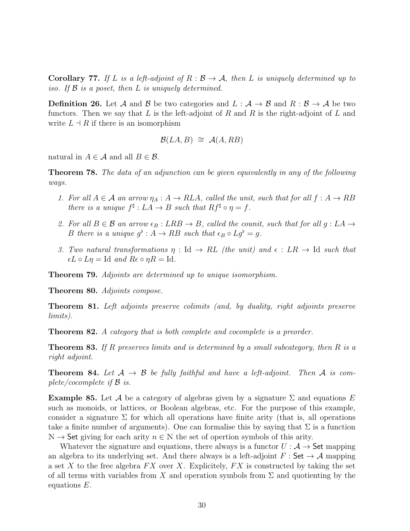**Corollary 77.** If L is a left-adjoint of  $R : \mathcal{B} \to \mathcal{A}$ , then L is uniquely determined up to iso. If  $\beta$  is a poset, then L is uniquely determined.

**Definition 26.** Let A and B be two categories and  $L : A \rightarrow B$  and  $R : B \rightarrow A$  be two functors. Then we say that L is the left-adjoint of R and R is the right-adjoint of L and write  $L \dashv R$  if there is an isomorphism

$$
\mathcal{B}(LA,B) \cong \mathcal{A}(A,RB)
$$

natural in  $A \in \mathcal{A}$  and all  $B \in \mathcal{B}$ .

Theorem 78. The data of an adjunction can be given equivalently in any of the following ways.

- 1. For all  $A \in \mathcal{A}$  an arrow  $\eta_A : A \to RLA$ , called the unit, such that for all  $f : A \to RB$ there is a unique  $f^{\sharp}: LA \to B$  such that  $Rf^{\sharp} \circ \eta = f$ .
- 2. For all  $B \in \mathcal{B}$  an arrow  $\epsilon_B : LRB \to B$ , called the counit, such that for all  $g : LA \to$ B there is a unique  $g^{\flat}: A \to RB$  such that  $\epsilon_B \circ Lg^{\flat} = g$ .
- 3. Two natural transformations  $\eta : \text{Id} \to RL$  (the unit) and  $\epsilon : LR \to \text{Id}$  such that  $\epsilon L \circ L\eta = \text{Id}$  and  $R\epsilon \circ \eta R = \text{Id}$ .

Theorem 79. Adjoints are determined up to unique isomorphism.

Theorem 80. Adjoints compose.

Theorem 81. Left adjoints preserve colimits (and, by duality, right adjoints preserve limits).

**Theorem 82.** A category that is both complete and cocomplete is a preorder.

**Theorem 83.** If R preserves limits and is determined by a small subcategory, then R is a right adjoint.

**Theorem 84.** Let  $A \rightarrow B$  be fully faithful and have a left-adjoint. Then A is complete/cocomplete if  $\mathcal{B}$  is.

**Example 85.** Let A be a category of algebras given by a signature  $\Sigma$  and equations E such as monoids, or lattices, or Boolean algebras, etc. For the purpose of this example, consider a signature  $\Sigma$  for which all operations have finite arity (that is, all operations take a finite number of arguments). One can formalise this by saying that  $\Sigma$  is a function  $\mathbb{N} \to$  Set giving for each arity  $n \in \mathbb{N}$  the set of opertion symbols of this arity.

Whatever the signature and equations, there always is a functor  $U : A \rightarrow$  Set mapping an algebra to its underlying set. And there always is a left-adjoint  $F : \mathsf{Set} \to \mathcal{A}$  mapping a set X to the free algebra  $FX$  over X. Explicitely,  $FX$  is constructed by taking the set of all terms with variables from X and operation symbols from  $\Sigma$  and quotienting by the equations E.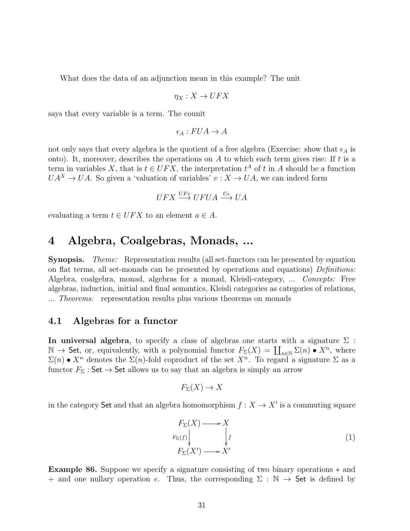What does the data of an adjunction mean in this example? The unit

$$
\eta_X:X\to UFX
$$

says that every variable is a term. The counit

$$
\epsilon_A: FUA \to A
$$

not only says that every algebra is the quotient of a free algebra (Exercise: show that  $\epsilon_A$  is onto). It, moreover, describes the operations on  $A$  to which each term gives rise: If  $t$  is a term in variables X, that is  $t \in UFX$ , the interpretation  $t^A$  of t in A should be a function  $UA^{X} \rightarrow UA$ . So given a 'valuation of variables'  $v : X \rightarrow UA$ , we can indeed form

$$
UFX \stackrel{UFv}{\longrightarrow} UFUA \stackrel{U\epsilon}{\longrightarrow} UA
$$

evaluating a term  $t \in UFX$  to an element  $a \in A$ .

## <span id="page-30-0"></span>4 Algebra, Coalgebras, Monads, ...

Synopsis. Theme: Representation results (all set-functors can be presented by equation on flat terms, all set-monads can be presented by operations and equations) Definitions: Algebra, coalgebra, monad, algebras for a monad, Kleisli-category, ... Concepts: Free algebras, induction, initial and final semantics, Kleisli categories as categories of relations, ... Theorems: representation results plus various theorems on monads

#### <span id="page-30-1"></span>4.1 Algebras for a functor

In universal algebra, to specify a class of algebras one starts with a signature  $\Sigma$ :  $\mathbb{N} \to \mathsf{Set}$ , or, equivalently, with a polynomial functor  $F_{\Sigma}(X) = \coprod_{n \in \mathbb{N}} \Sigma(n) \bullet X^n$ , where  $\Sigma(n) \bullet X^n$  denotes the  $\Sigma(n)$ -fold coproduct of the set  $X^n$ . To regard a signature  $\Sigma$  as a functor  $F_{\Sigma}$ : Set  $\rightarrow$  Set allows us to say that an algebra is simply an arrow

$$
F_{\Sigma}(X) \to X
$$

in the category Set and that an algebra homomorphism  $f: X \to X'$  is a commuting square

<span id="page-30-2"></span>
$$
F_{\Sigma}(X) \longrightarrow X
$$
  
\n
$$
F_{\Sigma}(f) \downarrow \qquad \qquad \downarrow f
$$
  
\n
$$
F_{\Sigma}(X') \longrightarrow X'
$$
\n(1)

Example 86. Suppose we specify a signature consisting of two binary operations ∗ and + and one nullary operation e. Thus, the corresponding  $\Sigma : \mathbb{N} \to \mathsf{Set}$  is defined by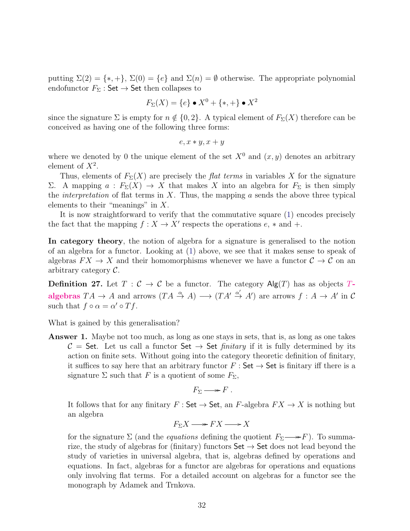putting  $\Sigma(2) = \{*, +\}, \Sigma(0) = \{e\}$  and  $\Sigma(n) = \emptyset$  otherwise. The appropriate polynomial endofunctor  $F_{\Sigma}$ : Set  $\rightarrow$  Set then collapses to

$$
F_{\Sigma}(X) = \{e\} \bullet X^0 + \{*, +\} \bullet X^2
$$

since the signature  $\Sigma$  is empty for  $n \notin \{0, 2\}$ . A typical element of  $F_{\Sigma}(X)$  therefore can be conceived as having one of the following three forms:

$$
e, x * y, x + y
$$

where we denoted by 0 the unique element of the set  $X^0$  and  $(x, y)$  denotes an arbitrary element of  $X^2$ .

Thus, elements of  $F_{\Sigma}(X)$  are precisely the *flat terms* in variables X for the signature Σ. A mapping  $a$ :  $F_Σ(X) → X$  that makes X into an algebra for  $F_Σ$  is then simply the *interpretation* of flat terms in  $X$ . Thus, the mapping  $a$  sends the above three typical elements to their "meanings" in  $X$ .

It is now straightforward to verify that the commutative square [\(1\)](#page-30-2) encodes precisely the fact that the mapping  $f : X \to X'$  respects the operations  $e, *$  and  $+$ .

In category theory, the notion of algebra for a signature is generalised to the notion of an algebra for a functor. Looking at [\(1\)](#page-30-2) above, we see that it makes sense to speak of algebras  $FX \to X$  and their homomorphisms whenever we have a functor  $C \to C$  on an arbitrary category C.

**Definition 27.** Let  $T : \mathcal{C} \to \mathcal{C}$  be a functor. The category  $\mathsf{Alg}(T)$  has as objects  $T$ algebras  $TA \to A$  and arrows  $(TA \stackrel{\alpha}{\to} A) \longrightarrow (TA' \stackrel{\alpha'}{\to} A')$  are arrows  $f : A \to A'$  in C such that  $f \circ \alpha = \alpha' \circ Tf$ .

What is gained by this generalisation?

Answer 1. Maybe not too much, as long as one stays in sets, that is, as long as one takes  $C =$  Set. Let us call a functor Set  $\rightarrow$  Set *finitary* if it is fully determined by its action on finite sets. Without going into the category theoretic definition of finitary, it suffices to say here that an arbitrary functor  $F : Set \to Set$  is finitary iff there is a signature  $\Sigma$  such that F is a quotient of some  $F_{\Sigma}$ ,

$$
F_{\Sigma} \longrightarrow F.
$$

It follows that for any finitary  $F : \mathsf{Set} \to \mathsf{Set}$ , an F-algebra  $FX \to X$  is nothing but an algebra

$$
F_{\Sigma}X \longrightarrow FX \longrightarrow X
$$

for the signature  $\Sigma$  (and the *equations* defining the quotient  $F_{\Sigma} \longrightarrow F$ ). To summarize, the study of algebras for (finitary) functors  $Set \rightarrow Set$  does not lead beyond the study of varieties in universal algebra, that is, algebras defined by operations and equations. In fact, algebras for a functor are algebras for operations and equations only involving flat terms. For a detailed account on algebras for a functor see the monograph by Adamek and Trnkova.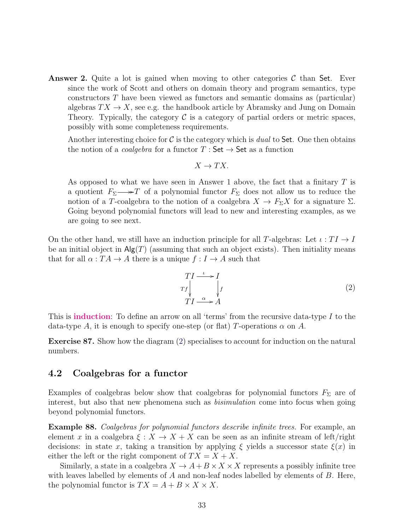**Answer 2.** Quite a lot is gained when moving to other categories  $\mathcal{C}$  than Set. Ever since the work of Scott and others on domain theory and program semantics, type constructors T have been viewed as functors and semantic domains as (particular) algebras  $TX \to X$ , see e.g. the handbook article by Abramsky and Jung on Domain Theory. Typically, the category  $\mathcal C$  is a category of partial orders or metric spaces, possibly with some completeness requirements.

Another interesting choice for  $\mathcal C$  is the category which is *dual* to Set. One then obtains the notion of a *coalgebra* for a functor  $T : Set \rightarrow Set$  as a function

$$
X \to TX.
$$

As opposed to what we have seen in Answer 1 above, the fact that a finitary  $T$  is a quotient  $F_{\Sigma} \longrightarrow T$  of a polynomial functor  $F_{\Sigma}$  does not allow us to reduce the notion of a T-coalgebra to the notion of a coalgebra  $X \to F_{\Sigma}X$  for a signature  $\Sigma$ . Going beyond polynomial functors will lead to new and interesting examples, as we are going to see next.

On the other hand, we still have an induction principle for all T-algebras: Let  $\iota: TI \to I$ be an initial object in  $\mathsf{Alg}(T)$  (assuming that such an object exists). Then initiality means that for all  $\alpha: TA \to A$  there is a unique  $f: I \to A$  such that

<span id="page-32-1"></span>
$$
\begin{array}{c}\nTI \xrightarrow{\iota} I \\
\text{Tr} \downarrow \\
TI \xrightarrow{\alpha} A\n\end{array} \tag{2}
$$

This is induction: To define an arrow on all 'terms' from the recursive data-type I to the data-type A, it is enough to specify one-step (or flat) T-operations  $\alpha$  on A.

Exercise 87. Show how the diagram [\(2\)](#page-32-1) specialises to account for induction on the natural numbers.

#### <span id="page-32-0"></span>4.2 Coalgebras for a functor

Examples of coalgebras below show that coalgebras for polynomial functors  $F_\Sigma$  are of interest, but also that new phenomena such as *bisimulation* come into focus when going beyond polynomial functors.

Example 88. Coalgebras for polynomial functors describe infinite trees. For example, an element x in a coalgebra  $\xi: X \to X + X$  can be seen as an infinite stream of left/right decisions: in state x, taking a transition by applying  $\xi$  yields a successor state  $\xi(x)$  in either the left or the right component of  $TX = X + X$ .

Similarly, a state in a coalgebra  $X \to A + B \times X \times X$  represents a possibly infinite tree with leaves labelled by elements of  $A$  and non-leaf nodes labelled by elements of  $B$ . Here, the polynomial functor is  $TX = A + B \times X \times X$ .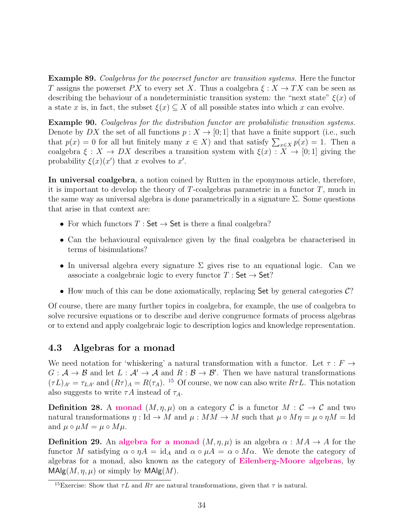Example 89. Coalgebras for the powerset functor are transition systems. Here the functor T assigns the powerset PX to every set X. Thus a coalgebra  $\xi: X \to TX$  can be seen as describing the behaviour of a nondeterministic transition system: the "next state"  $\xi(x)$  of a state x is, in fact, the subset  $\xi(x) \subseteq X$  of all possible states into which x can evolve.

Example 90. Coalgebras for the distribution functor are probabilistic transition systems. Denote by DX the set of all functions  $p: X \to [0, 1]$  that have a finite support (i.e., such that  $p(x) = 0$  for all but finitely many  $x \in X$ ) and that satisfy  $\sum_{x \in X} p(x) = 1$ . Then a coalgebra  $\xi: X \to DX$  describes a transition system with  $\xi(x): X \to [0,1]$  giving the probability  $\xi(x)(x')$  that x evolves to x'.

In universal coalgebra, a notion coined by Rutten in the eponymous article, therefore, it is important to develop the theory of  $T$ -coalgebras parametric in a functor  $T$ , much in the same way as universal algebra is done parametrically in a signature  $\Sigma$ . Some questions that arise in that context are:

- For which functors  $T : \mathsf{Set} \to \mathsf{Set}$  is there a final coalgebra?
- Can the behavioural equivalence given by the final coalgebra be characterised in terms of bisimulations?
- In universal algebra every signature  $\Sigma$  gives rise to an equational logic. Can we associate a coalgebraic logic to every functor  $T : Set \rightarrow Set$ ?
- How much of this can be done axiomatically, replacing Set by general categories  $\mathcal{C}$ ?

Of course, there are many further topics in coalgebra, for example, the use of coalgebra to solve recursive equations or to describe and derive congruence formats of process algebras or to extend and apply coalgebraic logic to description logics and knowledge representation.

#### <span id="page-33-0"></span>4.3 Algebras for a monad

We need notation for 'whiskering' a natural transformation with a functor. Let  $\tau : F \rightarrow$  $G: \mathcal{A} \to \mathcal{B}$  and let  $L: \mathcal{A}' \to \mathcal{A}$  and  $R: \mathcal{B} \to \mathcal{B}'$ . Then we have natural transformations  $(\tau L)_{A'} = \tau_{LA'}$  and  $(R\tau)_{A} = R(\tau_A)$ . <sup>[15](#page-33-1)</sup> Of course, we now can also write  $R\tau L$ . This notation also suggests to write  $\tau A$  instead of  $\tau_A$ .

**Definition 28.** A monad  $(M, \eta, \mu)$  on a category C is a functor  $M : \mathcal{C} \to \mathcal{C}$  and two natural transformations  $\eta : \text{Id} \to M$  and  $\mu : MM \to M$  such that  $\mu \circ M\eta = \mu \circ \eta M = \text{Id}$ and  $\mu \circ \mu M = \mu \circ M\mu$ .

**Definition 29.** An algebra for a monad  $(M, \eta, \mu)$  is an algebra  $\alpha : MA \rightarrow A$  for the functor M satisfying  $\alpha \circ \eta A = id_A$  and  $\alpha \circ \mu A = \alpha \circ M\alpha$ . We denote the category of algebras for a monad, also known as the category of Eilenberg-Moore algebras, by  $\mathsf{MAlg}(M, \eta, \mu)$  or simply by  $\mathsf{MAlg}(M)$ .

<span id="page-33-1"></span><sup>&</sup>lt;sup>15</sup>Exercise: Show that  $\tau L$  and  $R\tau$  are natural transformations, given that  $\tau$  is natural.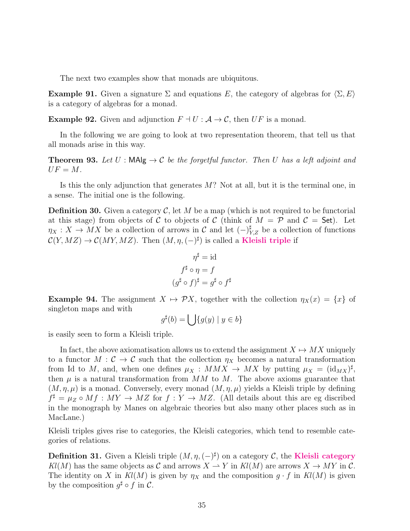The next two examples show that monads are ubiquitous.

**Example 91.** Given a signature  $\Sigma$  and equations E, the category of algebras for  $\langle \Sigma, E \rangle$ is a category of algebras for a monad.

**Example 92.** Given and adjunction  $F \dashv U : \mathcal{A} \to \mathcal{C}$ , then UF is a monad.

In the following we are going to look at two representation theorem, that tell us that all monads arise in this way.

**Theorem 93.** Let  $U$ : MAlg  $\rightarrow$  C be the forgetful functor. Then U has a left adjoint and  $UF = M$ .

Is this the only adjunction that generates  $M$ ? Not at all, but it is the terminal one, in a sense. The initial one is the following.

**Definition 30.** Given a category  $\mathcal{C}$ , let M be a map (which is not required to be functorial at this stage) from objects of C to objects of C (think of  $M = \mathcal{P}$  and  $\mathcal{C} =$  Set). Let  $\eta_X : X \to MX$  be a collection of arrows in C and let  $(-)_{Y,Z}^{\sharp}$  be a collection of functions  $\mathcal{C}(Y, MZ) \to \mathcal{C}(MY, MZ)$ . Then  $(M, \eta, (-)^{\sharp})$  is called a **Kleisli triple** if

$$
\eta^{\sharp} = \text{id}
$$
  

$$
f^{\sharp} \circ \eta = f
$$
  

$$
(g^{\sharp} \circ f)^{\sharp} = g^{\sharp} \circ f^{\sharp}
$$

**Example 94.** The assignment  $X \mapsto \mathcal{P}X$ , together with the collection  $\eta_X(x) = \{x\}$  of singleton maps and with

$$
g^{\sharp}(b) = \bigcup \{ g(y) \mid y \in b \}
$$

is easily seen to form a Kleisli triple.

In fact, the above axiomatisation allows us to extend the assignment  $X \mapsto MX$  uniquely to a functor  $M: \mathcal{C} \to \mathcal{C}$  such that the collection  $\eta_X$  becomes a natural transformation from Id to M, and, when one defines  $\mu_X : MMX \to MX$  by putting  $\mu_X = (\mathrm{id}_{MX})^{\sharp}$ , then  $\mu$  is a natural transformation from MM to M. The above axioms guarantee that  $(M, \eta, \mu)$  is a monad. Conversely, every monad  $(M, \eta, \mu)$  yields a Kleisli triple by defining  $f^{\sharp} = \mu_Z \circ Mf : MY \to MZ$  for  $f : Y \to MZ$ . (All details about this are eg discribed in the monograph by Manes on algebraic theories but also many other places such as in MacLane.)

Kleisli triples gives rise to categories, the Kleisli categories, which tend to resemble categories of relations.

**Definition 31.** Given a Kleisli triple  $(M, \eta, (-)^{\sharp})$  on a category C, the Kleisli category  $Kl(M)$  has the same objects as C and arrows  $X \to Y$  in  $Kl(M)$  are arrows  $X \to MY$  in C. The identity on X in  $Kl(M)$  is given by  $\eta_X$  and the composition  $g \cdot f$  in  $Kl(M)$  is given by the composition  $g^{\sharp} \circ f$  in C.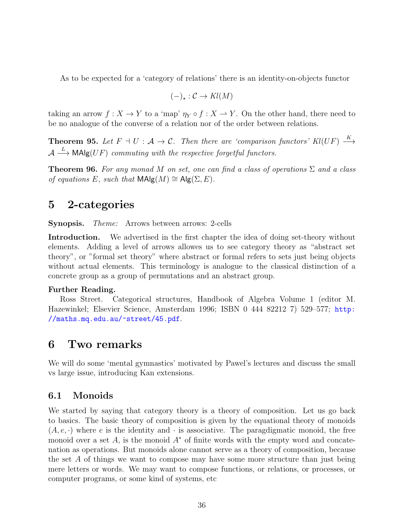As to be expected for a 'category of relations' there is an identity-on-objects functor

$$
(-)_\star : \mathcal{C} \to \mathit{Kl}(M)
$$

taking an arrow  $f: X \to Y$  to a 'map'  $\eta_Y \circ f: X \to Y$ . On the other hand, there need to be no analogue of the converse of a relation nor of the order between relations.

**Theorem 95.** Let  $F \dashv U : \mathcal{A} \to \mathcal{C}$ . Then there are 'comparison functors'  $Kl(UF) \stackrel{K}{\longrightarrow}$  $\mathcal{A} \stackrel{L}{\longrightarrow}$  MAlg(UF) commuting with the respective forgetful functors.

**Theorem 96.** For any monad M on set, one can find a class of operations  $\Sigma$  and a class of equations E, such that  $\textsf{MAlg}(M) \cong \textsf{Alg}(\Sigma, E)$ .

### <span id="page-35-0"></span>5 2-categories

Synopsis. Theme: Arrows between arrows: 2-cells

Introduction. We advertised in the first chapter the idea of doing set-theory without elements. Adding a level of arrows allowes us to see category theory as "abstract set theory", or "formal set theory" where abstract or formal refers to sets just being objects without actual elements. This terminology is analogue to the classical distinction of a concrete group as a group of permutations and an abstract group.

#### Further Reading.

Ross Street. Categorical structures, Handbook of Algebra Volume 1 (editor M. Hazewinkel; Elsevier Science, Amsterdam 1996; ISBN 0 444 82212 7) 529–577; [http:](http://maths.mq.edu.au/~street/45.pdf) [//maths.mq.edu.au/~street/45.pdf](http://maths.mq.edu.au/~street/45.pdf).

### <span id="page-35-1"></span>6 Two remarks

We will do some 'mental gymnastics' motivated by Pawel's lectures and discuss the small vs large issue, introducing Kan extensions.

#### <span id="page-35-2"></span>6.1 Monoids

We started by saying that category theory is a theory of composition. Let us go back to basics. The basic theory of composition is given by the equational theory of monoids  $(A, e, \cdot)$  where e is the identity and  $\cdot$  is associative. The paragdigmatic monoid, the free monoid over a set A, is the monoid  $A^*$  of finite words with the empty word and concatenation as operations. But monoids alone cannot serve as a theory of composition, because the set A of things we want to compose may have some more structure than just being mere letters or words. We may want to compose functions, or relations, or processes, or computer programs, or some kind of systems, etc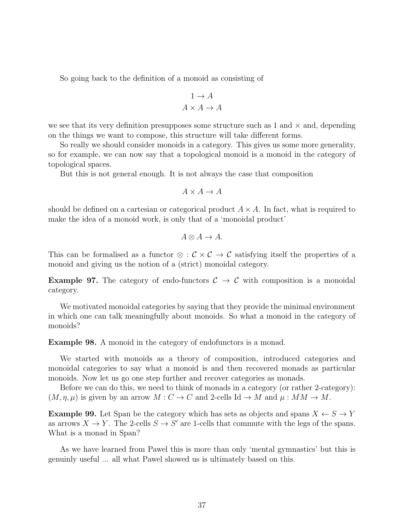So going back to the definition of a monoid as consisting of

$$
1 \to A
$$

$$
A \times A \to A
$$

we see that its very definition presupposes some structure such as 1 and  $\times$  and, depending on the things we want to compose, this structure will take different forms.

So really we should consider monoids in a category. This gives us some more generality, so for example, we can now say that a topological monoid is a monoid in the category of topological spaces.

But this is not general enough. It is not always the case that composition

$$
A \times A \to A
$$

should be defined on a cartesian or categorical product  $A \times A$ . In fact, what is required to make the idea of a monoid work, is only that of a 'monoidal product'

$$
A \otimes A \to A.
$$

This can be formalised as a functor  $\otimes$  :  $\mathcal{C} \times \mathcal{C} \to \mathcal{C}$  satisfying itself the properties of a monoid and giving us the notion of a (strict) monoidal category.

**Example 97.** The category of endo-functors  $C \rightarrow C$  with composition is a monoidal category.

We motivated monoidal categories by saying that they provide the minimal environment in which one can talk meaningfully about monoids. So what a monoid in the category of monoids?

Example 98. A monoid in the category of endofunctors is a monad.

We started with monoids as a theory of composition, introduced categories and monoidal categories to say what a monoid is and then recovered monads as particular monoids. Now let us go one step further and recover categories as monads.

Before we can do this, we need to think of monads in a category (or rather 2-category):  $(M, \eta, \mu)$  is given by an arrow  $M : C \to C$  and 2-cells Id  $\to M$  and  $\mu : MM \to M$ .

**Example 99.** Let Span be the category which has sets as objects and spans  $X \leftarrow S \rightarrow Y$ as arrows  $X \to Y$ . The 2-cells  $S \to S'$  are 1-cells that commute with the legs of the spans. What is a monad in Span?

As we have learned from Pawel this is more than only 'mental gymnastics' but this is genuinly useful ... all what Pawel showed us is ultimately based on this.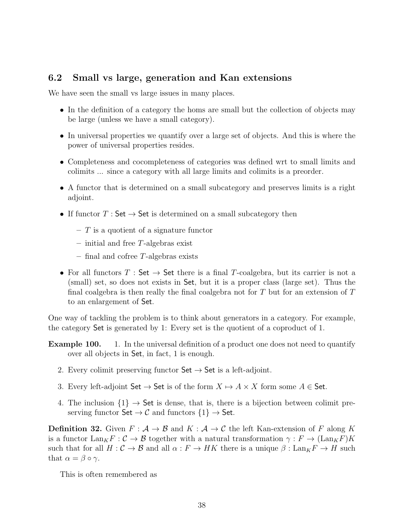### <span id="page-37-0"></span>6.2 Small vs large, generation and Kan extensions

We have seen the small vs large issues in many places.

- In the definition of a category the homs are small but the collection of objects may be large (unless we have a small category).
- In universal properties we quantify over a large set of objects. And this is where the power of universal properties resides.
- Completeness and cocompleteness of categories was defined wrt to small limits and colimits ... since a category with all large limits and colimits is a preorder.
- A functor that is determined on a small subcategory and preserves limits is a right adjoint.
- If functor  $T : Set \rightarrow Set$  is determined on a small subcategory then
	- $-$  T is a quotient of a signature functor
	- $-$  initial and free T-algebras exist
	- final and cofree T-algebras exists
- For all functors  $T : Set \rightarrow Set$  there is a final T-coalgebra, but its carrier is not a (small) set, so does not exists in Set, but it is a proper class (large set). Thus the final coalgebra is then really the final coalgebra not for  $T$  but for an extension of  $T$ to an enlargement of Set.

One way of tackling the problem is to think about generators in a category. For example, the category Set is generated by 1: Every set is the quotient of a coproduct of 1.

- **Example 100.** 1. In the universal definition of a product one does not need to quantify over all objects in Set, in fact, 1 is enough.
	- 2. Every colimit preserving functor  $\mathsf{Set} \to \mathsf{Set}$  is a left-adjoint.
	- 3. Every left-adjoint  $\mathsf{Set} \to \mathsf{Set}$  is of the form  $X \mapsto A \times X$  form some  $A \in \mathsf{Set}$ .
	- 4. The inclusion  $\{1\} \rightarrow$  Set is dense, that is, there is a bijection between colimit preserving functor  $\mathsf{Set} \to \mathcal{C}$  and functors  $\{1\} \to \mathsf{Set}$ .

**Definition 32.** Given  $F: A \rightarrow B$  and  $K: A \rightarrow C$  the left Kan-extension of F along K is a functor  $\text{Lan}_K F : \mathcal{C} \to \mathcal{B}$  together with a natural transformation  $\gamma : F \to (\text{Lan}_K F)K$ such that for all  $H: \mathcal{C} \to \mathcal{B}$  and all  $\alpha: F \to HK$  there is a unique  $\beta: \text{Lan}_K F \to H$  such that  $\alpha = \beta \circ \gamma$ .

This is often remembered as